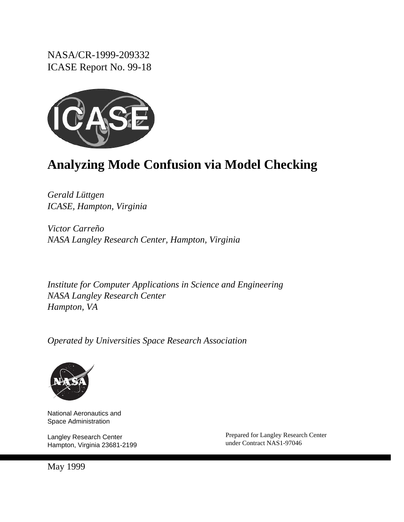NASA/CR-1999-209332 ICASE Report No. 99-18



# **Analyzing Mode Confusion via Model Checking**

*Gerald Lüttgen ICASE, Hampton, Virginia*

*Victor Carreño NASA Langley Research Center, Hampton, Virginia*

*Institute for Computer Applications in Science and Engineering NASA Langley Research Center Hampton, VA*

*Operated by Universities Space Research Association*



National Aeronautics and Space Administration

Langley Research Center Hampton, Virginia 23681-2199 Prepared for Langley Research Center under Contract NAS1-97046

May 1999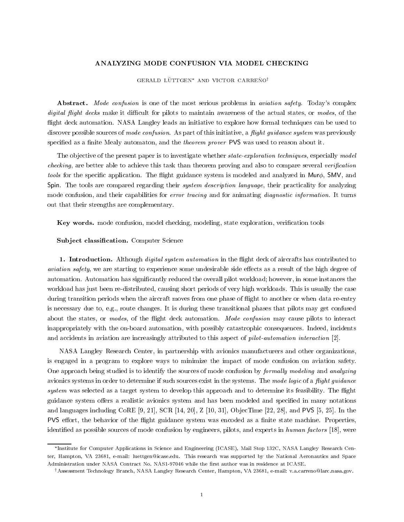## ANALYZING MODE CONFUSION VIA MODEL CHECKING

#### GERALD LÜTTGEN\* AND VICTOR CARREÑO<sup>†</sup>

Abstract. Mode confusion is one of the most serious problems in *aviation safety*. Today's complex digital flight decks make it difficult for pilots to maintain awareness of the actual states, or modes, of the flight deck automation. NASA Langley leads an initiative to explore how formal techniques can be used to discover possible sources of mode confusion. As part of this initiative, a flight guidance system was previously specified as a finite Mealy automaton, and the *theorem prover* PVS was used to reason about it.

The objective of the present paper is to investigate whether *state-exploration techniques*, especially model checking, are better able to achieve this task than theorem proving and also to compare several verification *tools* for the specific application. The flight guidance system is modeled and analyzed in Mur $\phi$ , SMV, and Spin. The tools are compared regarding their *system description language*, their practicality for analyzing mode confusion, and their capabilities for error tracing and for animating diagnostic information. It turns out that their strengths are complementary.

Key words. mode confusion, model checking, modeling, state exploration, verication tools

#### Subject classification. Computer Science

1. Introduction. Although *digital system automation* in the flight deck of aircrafts has contributed to aviation safety, we are starting to experience some undesirable side effects as a result of the high degree of automation. Automation has signicantly reduced the overall pilot workload; however, in some instances the workload has just been re-distributed, causing short periods of very high workloads. This is usually the case during transition periods when the aircraft moves from one phase of flight to another or when data re-entry is necessary due to, e.g., route changes. It is during these transitional phases that pilots may get confused about the states, or modes, of the flight deck automation. Mode confusion may cause pilots to interact inappropriately with the on-board automation, with possibly catastrophic consequences. Indeed, incidents and accidents in aviation are increasingly attributed to this aspect of *pilot-automation interaction* [2].

NASA Langley Research Center, in partnership with avionics manufacturers and other organizations, is engaged in a program to explore ways to minimize the impact of mode confusion on aviation safety. One approach being studied is to identify the sources of mode confusion by formally modeling and analyzing avionics systems in order to determine if such sources exist in the systems. The mode logic of a flight guidance system was selected as a target system to develop this approach and to determine its feasibility. The flight guidance system offers a realistic avionics system and has been modeled and specified in many notations and languages including CoRE  $[9, 21]$ , SCR  $[14, 20]$ , Z  $[10, 31]$ , ObjecTime  $[22, 28]$ , and PVS  $[5, 25]$ . In the PVS effort, the behavior of the flight guidance system was encoded as a finite state machine. Properties, identified as possible sources of mode confusion by engineers, pilots, and experts in human factors [18], were

Institute for Computer Applications in Science and Engineering (ICASE), Mail Stop 132C, NASA Langley Research Center, Hampton, VA 23681, e-mail: luettgen@icase.edu. This research was supported by the National Aeronautics and Space Administration under NASA Contract No. NAS1-97046 while the first author was in residence at ICASE.

yAssessment Technology Branch, NASA Langley Research Center, Hampton, VA 23681, e-mail: v.a.carreno@larc.nasa.gov.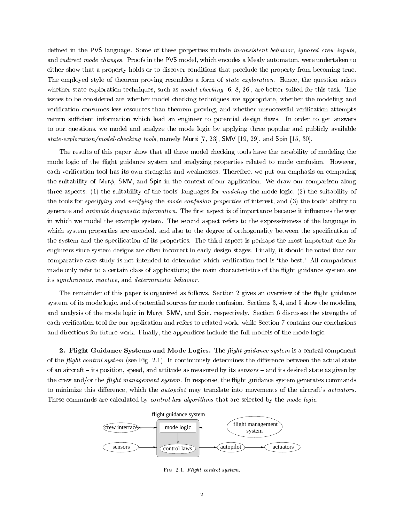defined in the PVS language. Some of these properties include *inconsistent behavior*, *ignored crew inputs*, and *indirect mode changes*. Proofs in the PVS model, which encodes a Mealy automaton, were undertaken to either show that a property holds or to discover conditions that preclude the property from becoming true. The employed style of theorem proving resembles a form of *state exploration*. Hence, the question arises whether state exploration techniques, such as *model checking* [6, 8, 26], are better suited for this task. The issues to be considered are whether model checking techniques are appropriate, whether the modeling and verification consumes less resources than theorem proving, and whether unsuccessful verification attempts return sufficient information which lead an engineer to potential design flaws. In order to get answers to our questions, we model and analyze the mode logic by applying three popular and publicly available state-exploration/model-checking tools, namely Mur $\phi$  [7, 23], SMV [19, 29], and Spin [15, 30].

The results of this paper show that all three model checking tools have the capability of modeling the mode logic of the flight guidance system and analyzing properties related to mode confusion. However, each verification tool has its own strengths and weaknesses. Therefore, we put our emphasis on comparing the suitability of Mur $\phi$ , SMV, and Spin in the context of our application. We draw our comparison along three aspects: (1) the suitability of the tools' languages for *modeling* the mode logic, (2) the suitability of the tools for specifying and verifying the mode confusion properties of interest, and (3) the tools' ability to generate and *animate diagnostic information*. The first aspect is of importance because it influences the way in which we model the example system. The second aspect refers to the expressiveness of the language in which system properties are encoded, and also to the degree of orthogonality between the specification of the system and the specication of its properties. The third aspect is perhaps the most important one for engineers since system designs are often incorrect in early design stages. Finally, it should be noted that our comparative case study is not intended to determine which verification tool is 'the best.' All comparisons made only refer to a certain class of applications; the main characteristics of the flight guidance system are its synchronous, reactive, and deterministic behavior.

The remainder of this paper is organized as follows. Section 2 gives an overview of the flight guidance system, of its mode logic, and of potential sources for mode confusion. Sections 3, 4, and 5 show the modeling and analysis of the mode logic in Mur $\phi$ , SMV, and Spin, respectively. Section 6 discusses the strengths of each verification tool for our application and refers to related work, while Section 7 contains our conclusions and directions for future work. Finally, the appendices include the full models of the mode logic.

2. Flight Guidance Systems and Mode Logics. The flight guidance system is a central component of the *flight control system* (see Fig. 2.1). It continuously determines the difference between the actual state of an aircraft  $-$  its position, speed, and attitude as measured by its sensors  $-$  and its desired state as given by the crew and/or the *flight management system*. In response, the flight guidance system generates commands to minimize this difference, which the *autopilot* may translate into movements of the aircraft's *actuators*. These commands are calculated by *control law algorithms* that are selected by the mode logic.



Fig. 2.1. Flight control system.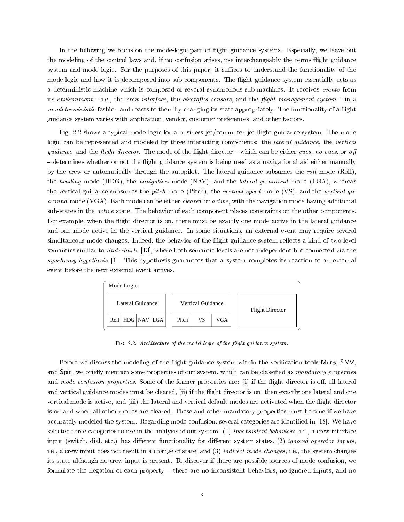In the following we focus on the mode-logic part of flight guidance systems. Especially, we leave out the modeling of the control laws and, if no confusion arises, use interchangeably the terms flight guidance system and mode logic. For the purposes of this paper, it suffices to understand the functionality of the mode logic and how it is decomposed into sub-components. The flight guidance system essentially acts as a deterministic machine which iscomposed of several synchronous sub-machines. It receives events from its environment  $-$  i.e., the crew interface, the aircraft's sensors, and the flight management system  $-$  in a nondeterministic fashion and reacts to them by changing its state appropriately. The functionality of a flight guidance system varies with application, vendor, customer preferences, and other factors.

Fig. 2.2 shows a typical mode logic for a business jet/commuter jet flight guidance system. The mode logic can be represented and modeled by three interacting components: the lateral guidance, the vertical guidance, and the flight director. The mode of the flight director  $-\text{ which can be either cues}, no-cues, or off$ { determines whether or not the 
ight guidance system is being used as a navigational aid either manually by the crew or automatically through the autopilot. The lateral guidance subsumes the roll mode (Roll), the heading mode (HDG), the navigation mode (NAV), and the lateral go-around mode (LGA), whereas the vertical guidance subsumes the *pitch* mode (Pitch), the vertical speed mode (VS), and the vertical goaround mode (VGA). Each mode can be either *cleared* or *active*, with the navigation mode having additional sub-states in the *active* state. The behavior of each component places constraints on the other components. For example, when the flight director is on, there must be exactly one mode active in the lateral guidance and one mode active in the vertical guidance. In some situations, an external event may require several simultaneous mode changes. Indeed, the behavior of the flight guidance system reflects a kind of two-level semantics similar to *Statecharts* [13], where both semantic levels are not independent but connected via the synchrony hypothesis [1]. This hypothesis guarantees that a system completes its reaction to an external event before the next external event arrives.



FIG. 2.2. Architecture of the model logic of the flight guidance system.

Before we discuss the modeling of the flight guidance system within the verification tools  $Mur\phi$ , SMV, and Spin, we briefly mention some properties of our system, which can be classified as mandatory properties and mode confusion properties. Some of the former properties are: (i) if the flight director is off, all lateral and vertical guidance modes must be cleared, (ii) if the flight director is on, then exactly one lateral and one vertical mode is active, and (iii) the lateral and vertical default modes are activated when the flight director is on and when all other modes are cleared. These and other mandatory properties must be true if we have accurately modeled the system. Regarding mode confusion, several categories are identified in [18]. We have selected three categories to use in the analysis of our system: (1) inconsistent behaviors, i.e., a crew interface input (switch, dial, etc.) has different functionality for different system states, (2) ignored operator inputs, i.e., a crew input does not result in a change of state, and (3) indirect mode changes, i.e., the system changes its state although no crew input is present. To discover if there are possible sources of mode confusion, we formulate the negation of each property  $-$  there are no inconsistent behaviors, no ignored inputs, and no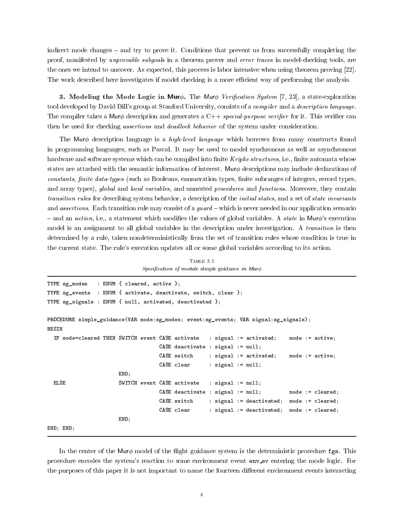indirect mode changes  $-$  and try to prove it. Conditions that prevent us from successfully completing the proof, manifested by unprovable subgoals in a theorem prover and error traces in model-checking tools, are the ones we intend to uncover. As expected, this process is labor intensive when using theorem proving [22]. The work described here investigates if model checking is a more efficient way of performing the analysis.

**3.** Modeling the Mode Logic in Mur $\phi$ . The Mur $\phi$  Verification System [7, 23], a state-exploration tool developed by David Dill's group at Stanford University, consists of a *compiler* and a *description language*. The compiler takes a Mur $\phi$  description and generates a C++ special-purpose verifier for it. This verifier can then be used for checking *assertions* and *deadlock behavior* of the system under consideration.

The Mur<sub>φ</sub> description language is a *high-level language* which borrows from many constructs found in programming languages, such as Pascal. It may be used to model synchronous as well as asynchronous hardware and software systems which can be compiled into finite Kripke structures, i.e., finite automata whose states are attached with the semantic information of interest. Mur $\phi$  descriptions may include declarations of constants, finite data-types (such as Booleans, enumeration types, finite subranges of integers, record types, and array types), global and local variables, and unnested procedures and functions. Moreover, they contain transition rules for describing system behavior, a description of the initial states, and a set of state invariants and *assertions*. Each transition rule may consist of a *guard*  $-\text{which is never needed in our application scenario$  $-$  and an *action*, i.e., a statement which modifies the values of global variables. A *state* in Mur $\phi$ 's execution model is an assignment to all global variables in the description under investigation. A *transition* is then determined by a rule, taken nondeterministically from the set of transition rules whose condition is true in the current state. The rule's execution updates all or some global variables according to its action.

TABLE 3.1 Specification of module simple guidance in Mur $\phi$ 

```
TYPE sg_modes : ENUM { cleared, active };
TYPE sg_events : ENUM { activate, deactivate, switch, clear };
TYPE sg_signals : ENUM { null, activated, deactivated };
PROCEDURE simple_guidance(VAR mode:sg_modes; event:sg_events; VAR signal:sg_signals);
 IF mode=cleared THEN SWITCH event CASE activate : signal := activated;
                                                                           mode := active:
                                  CASE deactivate : signal := null;
                                  CASE switch : signal := activated; mode := active;
                                  CASE clear : signal := null;
                      END;
 FLSE
                      SWITCH event CASE activate : signal := null;CASE deactivate : signal := null; mode := cleared;
                                  CASE switch : signal := deactivated; mode := cleared;
                                  CASE clear : signal := deactivated; mode := cleared;
                      END;
END; END;
```
In the center of the Mur $\phi$  model of the flight guidance system is the deterministic procedure fgs. This procedure encodes the system's reaction to some environment event envert enverted the mode logic. For the purposes of this paper it is not important to name the fourteen different environment events interacting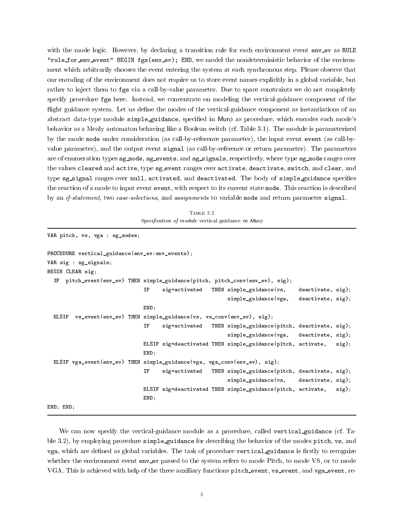with the mode logic. However, by declaring a transition rule for each environment event envery as RULE "rule\_for\_env\_event" BEGIN fgs(env\_ev); END, we model the nondeterministic behavior of the environment which arbitrarily chooses the event entering the system at each synchronous step. Please observe that our encoding of the environment does not require us to store event names explicitly in a global variable, but rather to inject them to fgs via a call-by-value parameter. Due to space constraints we do not completely specify procedure fgs here. Instead, we concentrate on modeling the vertical-guidance component of the flight guidance system. Let us define the modes of the vertical-guidance component as instantiations of an abstract data-type module simple guidance, specified in Mur $\phi$  as procedure, which encodes each mode's behavior as a Mealy automaton behaving like a Boolean switch (cf. Table 3.1). The module is parameterized by the mode mode under consideration (as call-by-reference parameter), the input event event (as call-by value parameter), and the output event signal (as call-by-reference or return parameter). The parameters are of enumeration types sg mode, sg events, and sg signals, respectively, where type sg mode ranges over the values cleared and active, type sg\_event ranges over activate, deactivate, switch, and clear, and type sg\_signal ranges over null, activated, and deactivated. The body of simple guidance specifies the reaction of a mode to input event event, with respect to its current state mode. This reaction is described by an if-statement, two case-selections, and assignments to variable mode and return parameter signal.

TABLE 3.2  $Specification$  of module vertical guidance in Mur $\phi$ 

```
VAR pitch, vs, vga : sg_modes;
PROCEDURE vertical_guidance(env_ev:env_events);
VAR sig : sg_signals;
BEGIN CLEAR sig;
  IF pitch_event(env_ev) THEN simple_guidance(pitch, pitch_conv(env_ev), sig);
                                     sig=activated THEN simple_guidance(vs, deactivate, sig);
                               IF
                                                          simple_guidance(vga, deactivate, sig);
                               END;
 ELSIF vs\_event(exp) THEN simple_guidance(vs, vs\_conv(exp), sig);
                                     sig=activated THEN simple_guidance(pitch, deactivate, sig);
                               TF
                                                          simple_guidance(vga, deactivate, sig);
                               ELSIF sig=deactivated THEN simple_guidance(pitch, activate, sig);
                               END;
 ELSIF vga_event(env_ev) THEN simple_guidance(vga, vga_conv(env_ev), sig);
                               T<sub>F</sub>
                                     sig=activated THEN simple_guidance(pitch, deactivate, sig);
                                                          simple_guidance(vs, deactivate, sig);
                               ELSIF sig=deactivated THEN simple_guidance(pitch, activate, sig);
                               END;
```
END; END;

We can now specify the vertical-guidance module as a procedure, called vertical guidance (cf. Table 3.2), by employing procedure simple guidance for describing the behavior of the modes pitch, vs, and vga, which are defined as global variables. The task of procedure vertical guidance is firstly to recognize whether the environment event enve is a search to the system refers to mode Pitch, to mode VS, or to mode VGA. This is achieved with help of the three auxiliary functions pitch event, vs event, and vga event, re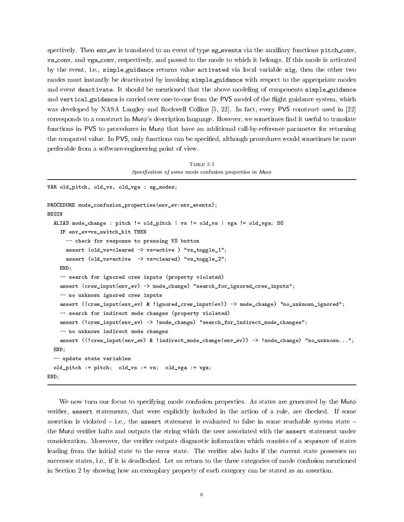spectively. Then env\_ev is translated to an event of type sg\_events via the auxiliary functions pitch\_conv, vs conv, and vga conv, respectively, and passed to the mode to which it belongs. If this mode is activated by the event, i.e., simple guidance returns value activated via local variable sig, then the other two modes must instantly be deactivated by invoking simple guidance with respect to the appropriate modes and event deactivate. It should be mentioned that the above modeling of components simple guidance and vertical guidance is carried over one-to-one from the PVS model of the flight guidance system, which was developed by NASA Langley and Rockwell Collins [5, 22]. In fact, every PVS construct used in [22] corresponds to a construct in Mur $\phi$ 's description language. However, we sometimes find it useful to translate functions in PVS to procedures in Mur $\phi$  that have an additional call-by-reference parameter for returning the computed value. In PVS, only functions can be specied, although procedures would sometimes be more preferable from a software-engineering point of view.

Table 3.3 $Specification$  of some mode confusion properties in Mur $\phi$ 

```
VAR old_pitch, old_vs, old_vga : sg_modes;
PROCEDURE mode_confusion_properties(env_ev:env_events);
BEGIN
 ALIAS mode_change : pitch != old_pitch | vs != old_vs | vga != old_vga; DO
    IF env_ev=vs_switch_hit THEN
      -- check for response to pressing VS button
      assert (old_vs=cleared -> vs=active ) "vs_toggle_1";
      assert (old_vs=active -> vs=cleared) "vs_toggle_2";
   END;
    -- search for ignored crew inputs (property violated)
    assert (crew_input(env_ev) -> mode_change) "search_for_ignored_crew_inputs";
    -- no unknown ignored crew inputs
    assert ((crew_input(env_ev) & !ignored_crew_input(ev)) -> mode_change) "no_unknown_ignored";
    -- search for indirect mode changes (property violated)
    assert (!crew_input(env_ev) -> !mode_change) "search_for_indirect_mode_changes";
    -- no unknown indirect mode changes
    assert ((!crew_input(env_ev) & !indirect_mode_change(env_ev)) -> !mode_change) "no_unknown...";
 END;
 -- update state variables
 old_pitch := pitch; old_vs := vs; old_vga := vga;
END;
```
We now turn our focus to specifying mode confusion properties. As states are generated by the Mur $\phi$ verifier, assert statements, that were explicitly included in the action of a rule, are checked. If some assertion is violated  $-$  i.e., the assert statement is evaluated to false in some reachable system state  $$ the Mur $\phi$  verifier halts and outputs the string which the user associated with the assert statement under consideration. Moreover, the verifier outputs diagnostic information which consists of a sequence of states leading from the initial state to the error state. The verifier also halts if the current state possesses no successor states, i.e., if it is deadlocked. Let us return to the three categories of mode confusion mentioned in Section 2 by showing how an exemplary property of each category can be stated as an assertion.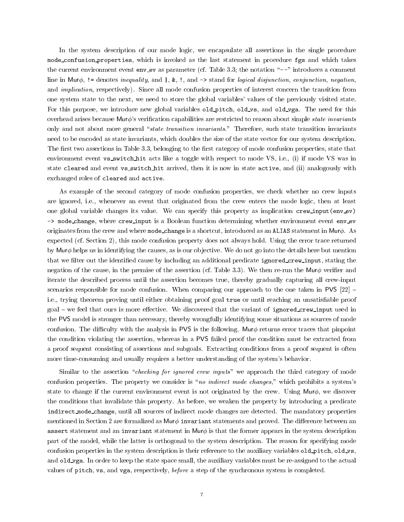In the system description of our mode logic, we encapsulate all assertions in the single procedure mode\_confusion\_properties, which is invoked as the last statement in procedure fgs and which takes the current environment event env ev as parameter (cf. Table 3.3; the notation " $-$ -" introduces a comment line in Mur $\phi$ , != denotes inequality, and  $\vert$ , &, !, and  $\vert$ > stand for logical disjunction, conjunction, negation, and implication, respectively). Since all mode confusion properties of interest concern the transition from one system state to the next, we need to store the global variables' values of the previously visited state. For this purpose, we introduce new global variables old pitch, old vs, and old vga. The need for this overhead arises because Murø's verification capabilities are restricted to reason about simple *state invariants* only and not about more general "state transition invariants." Therefore, such state transition invariants need to be encoded as state invariants, which doubles the size of the state vector for our system description. The first two assertions in Table 3.3, belonging to the first category of mode confusion properties, state that environment event vs\_switch\_hit acts like a toggle with respect to mode VS, i.e., (i) if mode VS was in state cleared and event vs switch hit arrived, then it is now in state active, and (ii) analogously with exchanged roles of cleared and active.

As example of the second category of mode confusion properties, we check whether no crew inputs are ignored, i.e., whenever an event that originated from the crew enters the mode logic, then at least one global variable changes its value. We can specify this property as implication crew input (env ev) -> mode\_change, where crew\_input is a Boolean function determining whether environment event env\_ev originates from the crew and where mode\_change is a shortcut, introduced as an ALIAS statement in Mur $\phi$ . As expected (cf. Section 2), this mode confusion property does not always hold. Using the error trace returned by Mur $\phi$  helps us in identifying the causes, as is our objective. We do not go into the details here but mention that we filter out the identified cause by including an additional predicate ignored crew input, stating the negation of the cause, in the premise of the assertion (cf. Table 3.3). We then re-run the Mur $\phi$  verifier and iterate the described process until the assertion becomes true, thereby gradually capturing all crew-input scenarios responsible for mode confusion. When comparing our approach to the one taken in PVS  $[22]$  – i.e., trying theorem proving until either obtaining proof goal true or until reaching an unsatisfiable proof  $\alpha$  goal – we feel that ours is more effective. We discovered that the variant of ignored crew input used in the PVS model is stronger than necessary, thereby wrongfully identifying some situations as sources of mode confusion. The difficulty with the analysis in PVS is the following. Mur $\phi$  returns error traces that pinpoint the condition violating the assertion, whereas in a PVS failed proof the condition must be extracted from a proof sequent consisting of assertions and subgoals. Extracting conditions from a proof sequent is often more time-consuming and usually requires a better understanding of the system's behavior.

Similar to the assertion "*checking for ignored crew inputs*" we approach the third category of mode confusion properties. The property we consider is "no indirect mode changes," which prohibits a system's state to change if the current environment event is not originated by the crew. Using Mur $\phi$ , we discover the conditions that invalidate this property. As before, we weaken the property by introducing a predicate indirect mode change, until all sources of indirect mode changes are detected. The mandatory properties mentioned in Section 2 are formalized as  $\mathsf{Mur}\phi$  invariant statements and proved. The difference between an assert statement and an invariant statement in Mur $\phi$  is that the former appears in the system description part of the model, while the latter is orthogonal to the system description. The reason for specifying mode confusion properties in the system description is their reference to the auxiliary variables old\_pitch, old\_vs, and old\_vga. In order to keep the state space small, the auxiliary variables must be re-assigned to the actual values of pitch, vs, and vga, respectively, before a step of the synchronous system is completed.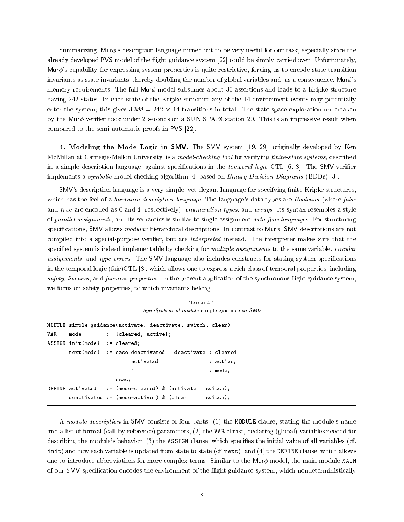Summarizing, Murø's description language turned out to be very useful for our task, especially since the already developed PVS model of the flight guidance system [22] could be simply carried over. Unfortunately, Mur $\phi$ 's capability for expressing system properties is quite restrictive, forcing us to encode state transition invariants as state invariants, thereby doubling the number of global variables and, as a consequence,  $Mur\phi$ 's memory requirements. The full Mur $\phi$  model subsumes about 30 assertions and leads to a Kripke structure having 242 states. In each state of the Kripke structure any of the 14 environment events may potentially enter the system; this gives 3 388 = 242 - 242 transitions in total. The state-space exploration undertaken und by the Mur $\phi$  verifier took under 2 seconds on a SUN SPARCstation 20. This is an impressive result when compared to the semi-automatic proofs in PVS [22].

4. Modeling the Mode Logic in SMV. The SMV system [19, 29], originally developed by Ken McMillan at Carnegie-Mellon University, is a *model-checking tool* for verifying *finite-state systems*, described in a simple description language, against specifications in the *temporal logic* CTL  $[6, 8]$ . The SMV verifier implements a symbolic model-checking algorithm [4] based on Binary Decision Diagrams (BDDs) [3].

SMV's description language is a very simple, yet elegant language for specifying finite Kripke structures, which has the feel of a *hardware description language*. The language's data types are *Booleans* (where *false* and true are encoded as 0 and 1, respectively), enumeration types, and arrays. Its syntax resembles a style of parallel assignments, and its semantics is similar to single assignment data flow languages. For structuring specifications, SMV allows modular hierarchical descriptions. In contrast to Mur $\phi$ , SMV descriptions are not compiled into a special-purpose verifier, but are *interpreted* instead. The interpreter makes sure that the specified system is indeed implementable by checking for *multiple assignments* to the same variable, *circular* assignments, and type errors. The SMV language also includes constructs for stating system specifications in the temporal logic (fair)CTL [8], which allows one to express a rich class of temporal properties, including safety, liveness, and fairness properties. In the present application of the synchronous flight guidance system, we focus on safety properties, to which invariants belong.

TABLE  $4.1$  $Specification$  of module simple guidance in  $SMV$ 

|     | MODULE simple_guidance(activate, deactivate, switch, clear) |  |                                                             |             |  |
|-----|-------------------------------------------------------------|--|-------------------------------------------------------------|-------------|--|
| VAR |                                                             |  | mode : {cleared, active};                                   |             |  |
|     | $ASSIGN\ init (mode) := cleared;$                           |  |                                                             |             |  |
|     |                                                             |  | $next(model)$ := case deactivated   deactivate : cleared;   |             |  |
|     |                                                             |  | activated                                                   | $:$ active; |  |
|     |                                                             |  | 1                                                           | : mode:     |  |
|     |                                                             |  | esac;                                                       |             |  |
|     |                                                             |  | DEFINE activated := (mode=cleared) & (activate $ $ switch); |             |  |
|     |                                                             |  | deactivated := $(mode=active)$ & $(clear$ switch);          |             |  |

A module description in SMV consists of four parts: (1) the MODULE clause, stating the module's name and a list of formal (call-by-reference) parameters, (2) the VAR clause, declaring (global) variables needed for describing the module's behavior, (3) the ASSIGN clause, which specifies the initial value of all variables (cf. init) and how each variable is updated from state to state (cf. next), and (4) the DEFINE clause, which allows one to introduce abbreviations for more complex terms. Similar to the Mur $\phi$  model, the main module MAIN of our SMV specication encodes the environment of the 
ight guidance system, which nondeterministically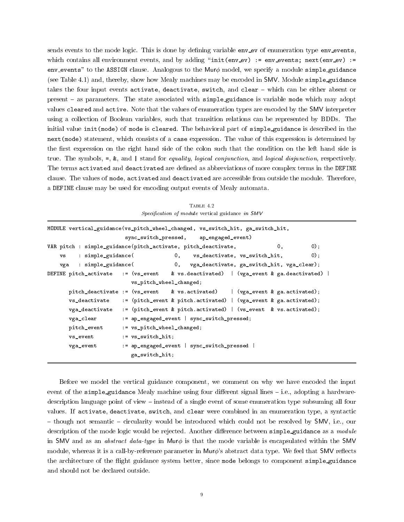sends events to the mode logic. This is done by defining variable envev of enumeration type env-events, which contains all environment events, and by adding "init(env ev) := env events; next(env ev) := env\_events" to the ASSIGN clause. Analogous to the Mur $\phi$  model, we specify a module simple guidance (see Table 4.1) and, thereby, show how Mealy machines may be encoded in SMV. Module simple guidance takes the four input events activate, deactivate, switch, and clear - which can be either absent or present - as parameters. The state associated with simple guidance is variable mode which may adopt values cleared and active. Note that the values of enumeration types are encoded by the SMV interpreter using a collection of Boolean variables, such that transition relations can be represented by BDDs. The initial value init(mode) of mode is cleared. The behavioral part of simple guidance is described in the next(mode) statement, which consists of a case expression. The value of this expression is determined by the first expression on the right hand side of the colon such that the condition on the left hand side is true. The symbols,  $=$ ,  $\&$ , and  $\vert$  stand for *equality, logical conjunction*, and *logical disjunction*, respectively. The terms activated and deactivated are defined as abbreviations of more complex terms in the DEFINE clause. The values of mode, activated and deactivated are accessible from outside the module. Therefore, a DEFINE clause may be used for encoding output events of Mealy automata.

|                |                            | Specification of module vertical guidance in SMV                                    |    |       |
|----------------|----------------------------|-------------------------------------------------------------------------------------|----|-------|
|                |                            | MODULE vertical_guidance(vs_pitch_wheel_changed, vs_switch_hit, ga_switch_hit,      |    |       |
|                |                            | sync_switch_pressed, ap_engaged_event)                                              |    |       |
|                |                            | VAR pitch : simple_guidance(pitch_activate, pitch_deactivate,                       | 0, | $0$ : |
| <b>VS</b>      | : simple_guidance(         | 0, vs_deactivate, vs_switch_hit,                                                    |    | $0$ : |
| vga            |                            | : simple_guidance( 0, vga_deactivate, ga_switch_hit, vga_clear);                    |    |       |
|                |                            | DEFINE pitch_activate := (vs_event & vs.deactivated)   (vga_event & ga.deactivated) |    |       |
|                | vs_pitch_wheel_changed;    |                                                                                     |    |       |
|                |                            | pitch_deactivate := $(vs_e)$ (vs.activated)   $(vga_e)$ (vga_event & ga.activated); |    |       |
|                |                            | $vs\_deactive := (pitch\_event & pitch}.action).$                                   |    |       |
| vga_deactivate |                            | := (pitch_event & pitch.activated)   (vs_event & vs.activated);                     |    |       |
| vga_clear      |                            | := ap_engaged_event   sync_switch_pressed;                                          |    |       |
| pitch_event    | := vs_pitch_wheel_changed; |                                                                                     |    |       |
| vs_event       | := vs_switch_hit;          |                                                                                     |    |       |
| vga_event      |                            | := ap_engaged_event   sync_switch_pressed                                           |    |       |
|                | ga_switch_hit;             |                                                                                     |    |       |

TABLE 4.2

Before we model the vertical guidance component, we comment on why we have encoded the input event of the simple guidance Mealy machine using four different signal lines  $-$  i.e., adopting a hardwaredescription language point of view – instead of a single event of some enumeration type subsuming all four values. If activate, deactivate, switch, and clear were combined in an enumeration type, a syntactic  $-$  though not semantic  $-$  circularity would be introduced which could not be resolved by SMV, i.e., our description of the mode logic would be rejected. Another difference between simple guidance as a module in SMV and as an *abstract data-type* in Mur $\phi$  is that the mode variable is encapsulated within the SMV module, whereas it is a call-by-reference parameter in  $\text{Mur}\phi$ 's abstract data type. We feel that SMV reflects the architecture of the flight guidance system better, since mode belongs to component simple guidance and should not be declared outside.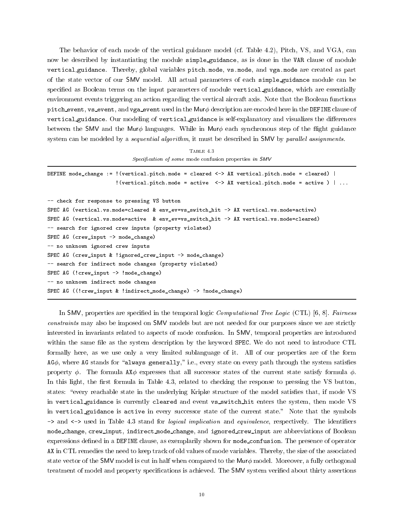The behavior of each mode of the vertical guidance model (cf. Table 4.2), Pitch, VS, and VGA, can now be described by instantiating the module simple guidance, as is done in the VAR clause of module vertical guidance. Thereby, global variables pitch.mode, vs.mode, and vga.mode are created as part of the state vector of our SMV model. All actual parameters of each simple guidance module can be specified as Boolean terms on the input parameters of module vertical guidance, which are essentially environment events triggering an action regarding the vertical aircraft axis. Note that the Boolean functions pitch event, vs event, and vga event used in the Mur $\phi$  description are encoded here in the DEFINE clause of vertical guidance. Our modeling of vertical guidance is self-explanatory and visualizes the differences between the SMV and the Mur $\phi$  languages. While in Mur $\phi$  each synchronous step of the flight guidance system can be modeled by a *sequential algorithm*, it must be described in SMV by *parallel assignments*.

TABLE  $4.3$  $Specification$  of some mode confusion properties in  $SMV$ 

| DEFINE mode_change := ! (vertical.pitch.mode = cleared $\langle -\rangle$ AX vertical.pitch.mode = cleared) |  |  |  |  |  |  |
|-------------------------------------------------------------------------------------------------------------|--|--|--|--|--|--|
| $\frac{1}{2}$ (vertical.pitch.mode = active <-> AX vertical.pitch.mode = active ) $\vert \ldots \vert$      |  |  |  |  |  |  |
|                                                                                                             |  |  |  |  |  |  |
| -- check for response to pressing VS button                                                                 |  |  |  |  |  |  |
| SPEC AG (vertical.vs.mode=cleared & env_ev=vs_switch_hit -> AX vertical.vs.mode=active)                     |  |  |  |  |  |  |
| SPEC AG (vertical.vs.mode=active & env_ev=vs_switch_hit -> AX vertical.vs.mode=cleared)                     |  |  |  |  |  |  |
| -- search for ignored crew inputs (property violated)                                                       |  |  |  |  |  |  |
| SPEC AG ( $crew\_input \rightarrow mode\_change$ )                                                          |  |  |  |  |  |  |
| -- no unknown ignored crew inputs                                                                           |  |  |  |  |  |  |
| SPEC AG (crew_input & !ignored_crew_input $\rightarrow$ mode_change)                                        |  |  |  |  |  |  |
| -- search for indirect mode changes (property violated)                                                     |  |  |  |  |  |  |
| SPEC AG $(!crew\_input \rightarrow !mode\_change)$                                                          |  |  |  |  |  |  |
| -- no unknown indirect mode changes                                                                         |  |  |  |  |  |  |
| SPEC AG ((! $crew\_input$ & !indirect_mode_change) -> !mode_change)                                         |  |  |  |  |  |  |

In SMV, properties are specified in the temporal logic *Computational Tree Logic* (CTL) [6, 8]. Fairness constraints may also be imposed on SMV models but are not needed for our purposes since we are strictly interested in invariants related to aspects of mode confusion. In SMV, temporal properties are introduced within the same file as the system description by the keyword SPEC. We do not need to introduce CTL formally here, as we use only a very limited sublanguage of it. All of our properties are of the form  $AG\phi$ , where AG stands for "always generally," i.e., every state on every path through the system satisfies property  $\phi$ . The formula AX $\phi$  expresses that all successor states of the current state satisfy formula  $\phi$ . In this light, the first formula in Table 4.3, related to checking the response to pressing the VS button, states: "every reachable state in the underlying Kripke structure of the model satisfies that, if mode VS in vertical guidance is currently cleared and event vs switch hit enters the system, then mode VS in vertical guidance is active in every successor state of the current state." Note that the symbols -> and  $\le$ -> used in Table 4.3 stand for *logical implication* and *equivalence*, respectively. The identifiers mode change, crew input, indirect mode change, and ignored crew input are abbreviations of Boolean expressions defined in a DEFINE clause, as exemplarily shown for mode\_confusion. The presence of operator AX in CTL remedies the need to keep track of old values of mode variables. Thereby, the size of the associated state vector of the SMV model is cut in half when compared to the Mur $\phi$  model. Moreover, a fully orthogonal treatment of model and property specifications is achieved. The SMV system verified about thirty assertions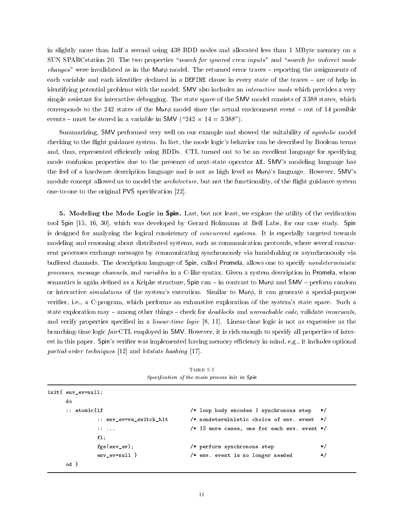in slightly more than half a second using 438 BDD nodes and allocated less than 1 MByte memory on a SUN SPARCstation 20. The two properties "search for ignored crew inputs" and "search for indirect mode changes" were invalidated as in the Mur $\phi$  model. The returned error traces – reporting the assignments of each variable and each identifier declared in a DEFINE clause in every state of the traces - are of help in identifying potential problems with the model. SMV also includes an *interactive mode* which provides a very simple assistant for interactive debugging. The state space of the SMV model consists of 3 388 states, which corresponds to the 242 states of the Mur $\phi$  model since the actual environment event  $-$  out of 14 possible events  ${\bf m}$  and store in  ${\bf m}$  is a variable in SMV ( ${\bf m}$  -  ${\bf m}$  ). The store  ${\bf m}$ 

Summarizing, SMV performed very well on our example and showed the suitability of *symbolic* model checking to the flight guidance system. In fact, the mode logic's behavior can be described by Boolean terms and, thus, represented efficiently using BDDs. CTL turned out to be an excellent language for specifying mode confusion properties due to the presence of next-state operator AX. SMV's modeling language has the feel of a hardware description language and is not as high level as  $Mur\phi$ 's language. However, SMV's module concept allowed us to model the *architecture*, but not the functionality, of the flight guidance system one-to-one to the original PVS specification [22].

5. Modeling the Mode Logic in Spin. Last, but not least, we explore the utility of the verification tool Spin [15, 16, 30], which was developed by Gerard Holzmann at Bell Labs, for our case study. Spin is designed for analyzing the logical consistency of concurrent systems. It is especially targeted towards modeling and reasoning about distributed systems, such as communication protocols, where several concurrent processes exchange messages by communicating synchronously via handshaking or asynchronously via buffered channels. The description language of Spin, called Promela, allows one to specify *nondeterministic* processes, message channels, and variables in a C-like syntax. Given a system description in Promela, whose semantics is again defined as a Kripke structure, Spin can  $-$  in contrast to Mur $\phi$  and SMV  $-$  perform random or interactive *simulations* of the system's execution. Similar to  $\mathsf{Mur}\phi$ , it can generate a special-purpose verier, i.e., a C-program, which performs an exhaustive exploration of the system's state space. Such a state exploration may  $-$  among other things  $-$  check for *deadlocks* and *unreachable code*, validate *invariants*, and verify properties specified in a *linear-time logic* [8, 11]. Linear-time logic is not as expressive as the branching-time logic fairCTL employed in SMV. However, it is rich enough to specify all properties of interest in this paper. Spin's verifier was implemented having memory efficiency in mind, e.g., it includes optional partial-order techniques [12] and bitstate hashing [17].

TABLE 5.1 Specification of the main process init in Spin

| init{ env_ev=null; |                                                                  |                                                  |         |
|--------------------|------------------------------------------------------------------|--------------------------------------------------|---------|
| do                 |                                                                  |                                                  |         |
| $::$ atomicfif     |                                                                  | /* loop body encodes 1 synchronous step */       |         |
|                    | :: env_ev=vs_switch_hit                                          | /* nondeterministic choice of env. event */      |         |
|                    | $\mathbf{1}$ $\mathbf{1}$ $\mathbf{1}$ $\mathbf{1}$ $\mathbf{1}$ | $/*$ 13 more cases, one for each env. event $*/$ |         |
| $fi$ :             |                                                                  |                                                  |         |
|                    | $fgs(env\_ev);$                                                  | /* perform synchronous step                      | $\ast/$ |
|                    | $env$ ev=null $\}$                                               | /* env. event is no longer needed                | $\ast/$ |
| od }               |                                                                  |                                                  |         |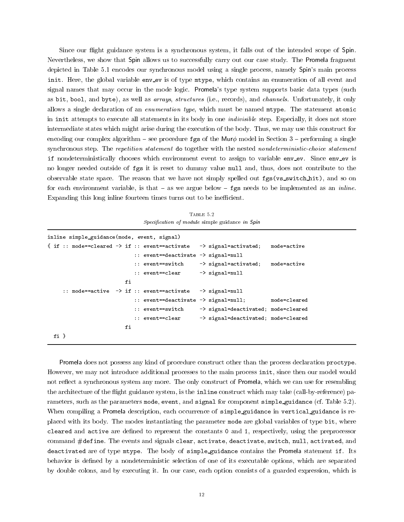Since our flight guidance system is a synchronous system, it falls out of the intended scope of Spin. Nevertheless, we show that Spin allows us to successfully carry out our case study. The Promela fragment depicted in Table 5.1 encodes our synchronous model using a single process, namely Spin's main process init. Here, the global variable env\_ev is of type mtype, which contains an enumeration of all event and signal names that may occur in the mode logic. Promela's type system supports basic data types (such as bit, bool, and byte), as well as arrays, structures (i.e., records), and channels. Unfortunately, it only allows a single declaration of an enumeration type, which must be named mtype. The statement atomic in init attempts to execute all statements in its body in one *indivisible* step. Especially, it does not store intermediate states which might arise during the execution of the body. Thus, we may use this construct for encoding our complex algorithm – see procedure fgs of the Mur $\phi$  model in Section 3 – performing a single synchronous step. The repetition statement do together with the nested nondeterministic-choice statement if nondeterministically chooses which environment event to assign to variable env\_ev. Since env\_ev is no longer needed outside of fgs it is reset to dummy value null and, thus, does not contribute to the observable state space. The reason that we have not simply spelled out fgs(vs\_switch\_hit), and so on for each environment variable, is that  $-$  as we argue below  $-$  fgs needs to be implemented as an *inline*. Expanding this long inline fourteen times turns out to be inefficient.

TABLE  $5.2$ Specification of module simple guidance in Spin

| inline simple_guidance(mode, event, signal) |  |  |  |    |  |                                                                         |                                     |              |
|---------------------------------------------|--|--|--|----|--|-------------------------------------------------------------------------|-------------------------------------|--------------|
|                                             |  |  |  |    |  | { if :: mode==cleared $\rightarrow$ if :: event==activate               | -> signal=activated;                | mode=active  |
|                                             |  |  |  |    |  | $\cdots$ event==deactivate $\rightarrow$ signal=null                    |                                     |              |
|                                             |  |  |  |    |  | :: event==switch                                                        | -> signal=activated;                | mode=active  |
|                                             |  |  |  |    |  | :: event==clear                                                         | $\rightarrow$ signal=null           |              |
|                                             |  |  |  | fi |  |                                                                         |                                     |              |
|                                             |  |  |  |    |  | $\therefore$ mode==active $\rightarrow$ if $\therefore$ event==activate | -> signal=null                      |              |
|                                             |  |  |  |    |  | $\therefore$ event==deactivate -> signal=null;                          |                                     | mode=cleared |
|                                             |  |  |  |    |  | :: event==switch                                                        | -> signal=deactivated; mode=cleared |              |
|                                             |  |  |  |    |  | :: event==clear                                                         | -> signal=deactivated; mode=cleared |              |
|                                             |  |  |  | fi |  |                                                                         |                                     |              |
| fi }                                        |  |  |  |    |  |                                                                         |                                     |              |

Promela does not possess any kind of procedure construct other than the process declaration proctype. However, we may not introduce additional processes to the main process init, since then our model would not reflect a synchronous system any more. The only construct of Promela, which we can use for resembling the architecture of the flight guidance system, is the inline construct which may take (call-by-reference) parameters, such as the parameters mode, event, and signal for component simple guidance (cf. Table 5.2). When compiling a Promela description, each occurrence of simple guidance in vertical guidance is replaced with its body. The modes instantiating the parameter mode are global variables of type bit, where cleared and active are defined to represent the constants 0 and 1, respectively, using the preprocessor command #define. The events and signals clear, activate, deactivate, switch, null, activated, and deactivated are of type mtype. The body of simple guidance contains the Promela statement if. Its behavior is defined by a nondeterministic selection of one of its executable options, which are separated by double colons, and by executing it. In our case, each option consists of a guarded expression, which is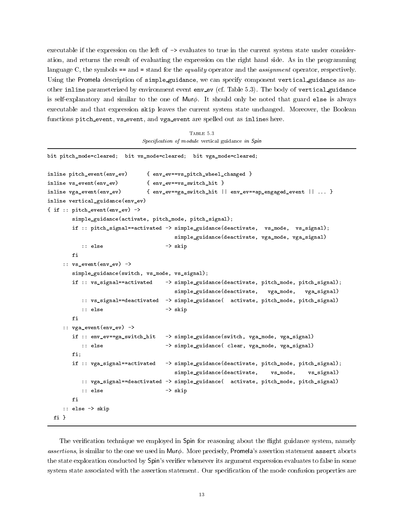executable if the expression on the left of -> evaluates to true in the current system state under consideration, and returns the result of evaluating the expression on the right hand side. As in the programming language C, the symbols == and = stand for the *equality* operator and the *assignment* operator, respectively. Using the Promela description of simple guidance, we can specify component vertical guidance as another inline parameterized by environment event env\_ev (cf. Table 5.3). The body of vertical\_guidance is self-explanatory and similar to the one of Mur $\phi$ . It should only be noted that guard else is always executable and that expression skip leaves the current system state unchanged. Moreover, the Boolean functions pitch event, vs event, and vga event are spelled out as inlines here.

TABLE 5.3  $Specification$  of module vertical guidance in Spin

```
bit pitch_mode=cleared; bit vs_mode=cleared; bit vga_mode=cleared;
inline pitch_event(env_ev) { env_ev==vs_pitch_wheel_changed }
inline vs_event(env_ev) { env_ev==vs_switch_hit }
inline vga_event(env_ev) { env_ev==ga_switch_hit || env_ev==ap_engaged_event || ... }
inline vertical_guidance(env_ev)
{ if :: pitch_event(env_ev) ->
       simple_guidance(activate, pitch_mode, pitch_signal);
       if :: pitch_signal==activated -> simple_guidance(deactivate, vs_mode, vs_signal);
                                      simple_guidance(deactivate, vga_mode, vga_signal)
          :: else -> skip
       fi
    :: vs_event(env_ev) ->
       simple_guidance(switch, vs_mode, vs_signal);
       if :: vs_signal==activated -> simple_guidance(deactivate, pitch_mode, pitch_signal);
                                      simple_guidance(deactivate, vga_mode, vga_signal)
          :: vs_signal==deactivated -> simple_guidance( activate, pitch_mode, pitch_signal)
          :: else -> skip
       f_i:: vga_event(env_ev) ->
       if :: env_ev==ga_switch_hit -> simple_guidance(switch, vga_mode, vga_signal)
          :: else -> simple_guidance( clear, vga_mode, vga_signal)
       fi;
       if :: vga_signal==activated -> simple_guidance(deactivate, pitch_mode, pitch_signal);
                                      simple_guidance(deactivate, vs_mode, vs_signal)
          :: vga_signal==deactivated -> simple_guidance( activate, pitch_mode, pitch_signal)
          :: else -> skip
       fi
    :: else -> skip
 fi }
```
The verification technique we employed in Spin for reasoning about the flight guidance system, namely assertions, is similar to the one we used in Mur $\phi$ . More precisely, Promela's assertion statement assert aborts the state exploration conducted by Spin's verier whenever its argument expression evaluates to false in some system state associated with the assertion statement. Our specification of the mode confusion properties are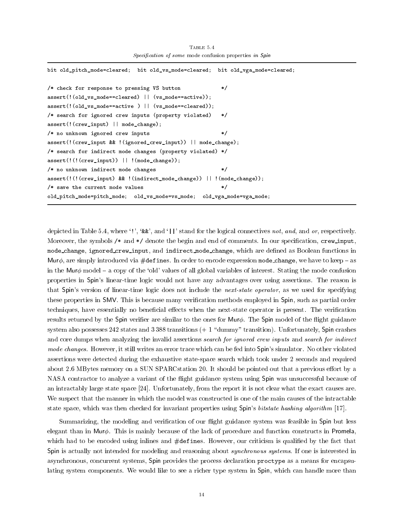```
bit old_pitch_mode=cleared; bit old_vs_mode=cleared; bit old_vga_mode=cleared;
/* check for response to pressing VS button */
assert(!(old_vs_mode==cleared) || (vs_mode==active));
assert(!(old_vs_mode==active ) || (vs_mode==cleared));
/* search for ignored crew inputs (property violated) */
assert(!(crew_input) || mode_change);
/* no unknown ignored crew inputs
                                                        \ast/assert(!(crew_input && !(ignored_crew_input)) || mode_change);
/* search for indirect mode changes (property violated) */
assert(!(!(crew_input)) || !(mode_change));
/* no unknown indirect mode changes
                                                        \ast/assert(!(!(crew_input) && !(indirect_mode_change)) || !(mode_change));
/* save the current mode values
                                                        * /
old_pitch_mode=pitch_mode; old_vs_mode=vs_mode; old_vga_mode=vga_mode;
```
TABLE 5.4 Specification of some mode confusion properties in Spin

depicted in Table 5.4, where '!', '&&', and '||' stand for the logical connectives not, and, and or, respectively. Moreover, the symbols  $/*$  and  $*/$  denote the begin and end of comments. In our specification, crew input, mode\_change, ignored\_crew\_input, and indirect\_mode\_change, which are defined as Boolean functions in Mur $\phi$ , are simply introduced via #defines. In order to encode expression mode\_change, we have to keep – as in the Mur $\phi$  model  $-$  a copy of the 'old' values of all global variables of interest. Stating the mode confusion properties in Spin's linear-time logic would not have any advantages over using assertions. The reason is that Spin's version of linear-time logic does not include the *next-state operator*, as we used for specifying these properties in SMV. This is because many verication methods employed in Spin, such as partial order techniques, have essentially no beneficial effects when the next-state operator is present. The verification results returned by the Spin verifier are similar to the ones for Mur $\phi$ . The Spin model of the flight guidance system also possesses  $242$  states and  $3388$  transitions  $(+ 1 \text{ "dummy" transition)}.$  Unfortunately, Spin crashes and core dumps when analyzing the invalid assertions search for ignored crew inputs and search for indirect mode changes. However, it still writes an error trace which can be fed into Spin's simulator. No other violated assertions were detected during the exhaustive state-space search which took under 2 seconds and required about 2.6 MBytes memory on a SUN SPARCstation 20. It should be pointed out that a previous effort by a NASA contractor to analyze a variant of the 
ight guidance system using Spin was unsuccessful because of an intractably large state space [24]. Unfortunately, from the report it is not clear what the exact causes are. We suspect that the manner in which the model was constructed is one of the main causes of the intractable state space, which was then checked for invariant properties using Spin's bitstate hashing algorithm [17].

Summarizing, the modeling and verification of our flight guidance system was feasible in Spin but less elegant than in Mur $\phi$ . This is mainly because of the lack of procedure and function constructs in Promela, which had to be encoded using inlines and  $\#$ defines. However, our criticism is qualified by the fact that Spin is actually not intended for modeling and reasoning about *synchronous systems*. If one is interested in asynchronous, concurrent systems, Spin provides the process declaration proctype as a means for encapsulating system components. We would like to see a richer type system in Spin, which can handle more than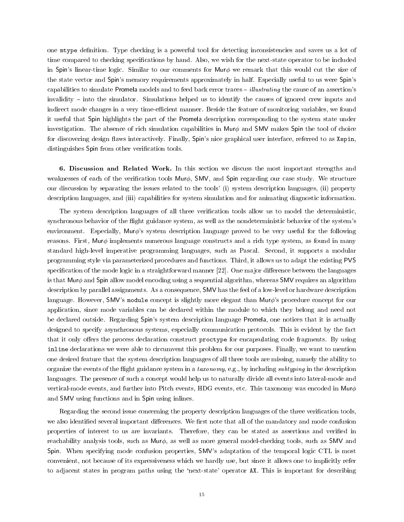one mtype definition. Type checking is a powerful tool for detecting inconsistencies and saves us a lot of time compared to checking specifications by hand. Also, we wish for the next-state operator to be included in Spin's linear-time logic. Similar to our comments for Mur $\phi$  we remark that this would cut the size of the state vector and Spin's memory requirements approximately in half. Especially useful to us were Spin's capabilities to simulate Promela models and to feed back error traces  $-$  *illustrating* the cause of an assertion's invalidity – into the simulator. Simulations helped us to identify the causes of ignored crew inputs and indirect mode changes in a very time-efficient manner. Beside the feature of monitoring variables, we found it useful that Spin highlights the part of the Promela description corresponding to the system state under investigation. The absence of rich simulation capabilities in Mur $\phi$  and SMV makes Spin the tool of choice for discovering design flaws interactively. Finally, Spin's nice graphical user interface, referred to as Xspin, distinguishes Spin from other verification tools.

6. Discussion and Related Work. In this section we discuss the most important strengths and weaknesses of each of the verification tools  $Mur\phi$ , SMV, and Spin regarding our case study. We structure our discussion by separating the issues related to the tools' (i) system description languages, (ii) property description languages, and (iii) capabilities for system simulation and for animating diagnostic information.

The system description languages of all three verication tools allow us to model the deterministic, synchronous behavior of the flight guidance system, as well as the nondeterministic behavior of the system's environment. Especially, Mur $\phi$ 's system description language proved to be very useful for the following reasons. First, Mur $\phi$  implements numerous language constructs and a rich type system, as found in many standard high-level imperative programming languages, such as Pascal. Second, it supports a modular programming style via parameterized procedures and functions. Third, it allows us to adapt the existing PVS specification of the mode logic in a straightforward manner  $[22]$ . One major difference between the languages is that Mur $\phi$  and Spin allow model encoding using a sequential algorithm, whereas SMV requires an algorithm description by parallel assignments. As a consequence, SMV has the feel of a low-level or hardware description language. However, SMV's module concept is slightly more elegant than  $\text{Mur}\phi$ 's procedure concept for our application, since mode variables can be declared within the module to which they belong and need not be declared outside. Regarding Spin's system description language Promela, one notices that it is actually designed to specify asynchronous systems, especially communication protocols. This is evident by the fact that it only offers the process declaration construct proctype for encapsulating code fragments. By using inline declarations we were able to circumvent this problem for our purposes. Finally, we want to mention one desired feature that the system description languages of all three tools are missing, namely the ability to organize the events of the flight guidance system in a taxonomy, e.g., by including subtyping in the description languages. The presence of such a concept would help us to naturally divide all events into lateral-mode and vertical-mode events, and further into Pitch events, HDG events, etc. This taxonomy was encoded in Mur $\phi$ and SMV using functions and in Spin using inlines.

Regarding the second issue concerning the property description languages of the three verication tools, we also identified several important differences. We first note that all of the mandatory and mode confusion properties of interest to us are invariants. Therefore, they can be stated as assertions and veried in reachability analysis tools, such as Mur $\phi$ , as well as more general model-checking tools, such as SMV and Spin. When specifying mode confusion properties, SMV's adaptation of the temporal logic CTL is most convenient, not because of its expressiveness which we hardly use, but since it allows one to implicitly refer to adjacent states in program paths using the `next-state' operator AX. This is important for describing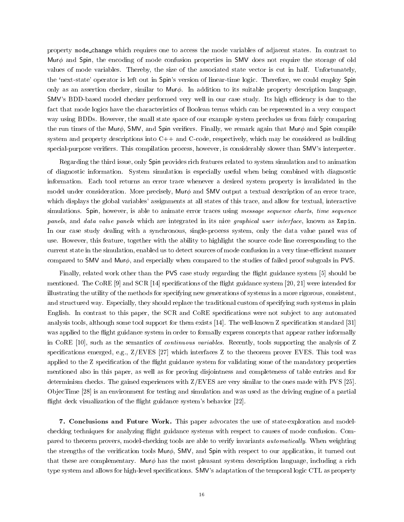property mode change which requires one to access the mode variables of adjacent states. In contrast to Mur $\phi$  and Spin, the encoding of mode confusion properties in SMV does not require the storage of old values of mode variables. Thereby, the size of the associated state vector is cut in half. Unfortunately, the 'next-state' operator is left out in Spin's version of linear-time logic. Therefore, we could employ Spin only as an assertion checker, similar to Mur $\phi$ . In addition to its suitable property description language, SMV's BDD-based model checker performed very well in our case study. Its high efficiency is due to the fact that mode logics have the characteristics of Boolean terms which can be represented in a very compact way using BDDs. However, the small state space of our example system precludes us from fairly comparing the run times of the Mur $\phi$ , SMV, and Spin verifiers. Finally, we remark again that Mur $\phi$  and Spin compile system and property descriptions into  $C++$  and  $C$ -code, respectively, which may be considered as building special-purpose veriers. This compilation process, however, is considerably slower than SMV's interpreter.

Regarding the third issue, only Spin provides rich features related to system simulation and to animation of diagnostic information. System simulation is especially useful when being combined with diagnostic information. Each tool returns an error trace whenever a desired system property is invalidated in the model under consideration. More precisely,  $Mur\phi$  and SMV output a textual description of an error trace. which displays the global variables' assignments at all states of this trace, and allow for textual, interactive simulations. Spin, however, is able to animate error traces using *message sequence charts, time sequence* panels, and data value panels which are integrated in its nice graphical user interface, known as Xspin. In our case study dealing with a synchronous, single-process system, only the data value panel was of use. However, this feature, together with the ability to highlight the source code line corresponding to the current state in the simulation, enabled us to detect sources of mode confusion in a very time-efficient manner compared to SMV and Mur $\phi$ , and especially when compared to the studies of failed proof subgoals in PVS.

Finally, related work other than the PVS case study regarding the flight guidance system [5] should be mentioned. The CoRE  $[9]$  and SCR  $[14]$  specifications of the flight guidance system  $[20, 21]$  were intended for illustrating the utility of the methods for specifying new generations of systems in a more rigorous, consistent, and structured way. Especially, they should replace the traditional custom of specifying such systems in plain English. In contrast to this paper, the SCR and CoRE specifications were not subject to any automated analysis tools, although some tool support for them exists [14]. The well-known Z specication standard [31] was applied to the flight guidance system in order to formally express concepts that appear rather informally in CoRE [10], such as the semantics of continuous variables. Recently, tools supporting the analysis of Z specications emerged, e.g., Z/EVES [27] which interfaces Z to the theorem prover EVES. This tool was applied to the Z specification of the flight guidance system for validating some of the mandatory properties mentioned also in this paper, as well as for proving disjointness and completeness of table entries and for determinism checks. The gained experiences with Z/EVES are very similar to the ones made with PVS [25]. Ob jecTime [28] is an environment for testing and simulation and was used as the driving engine of a partial flight deck visualization of the flight guidance system's behavior [22].

7. Conclusions and Future Work. This paper advocates the use of state-exploration and modelchecking techniques for analyzing flight guidance systems with respect to causes of mode confusion. Compared to theorem provers, model-checking tools are able to verify invariants *automatically*. When weighting the strengths of the verification tools Mur $\phi$ , SMV, and Spin with respect to our application, it turned out that these are complementary. Mur $\phi$  has the most pleasant system description language, including a rich type system and allows for high-level specications. SMV's adaptation of the temporal logic CTL as property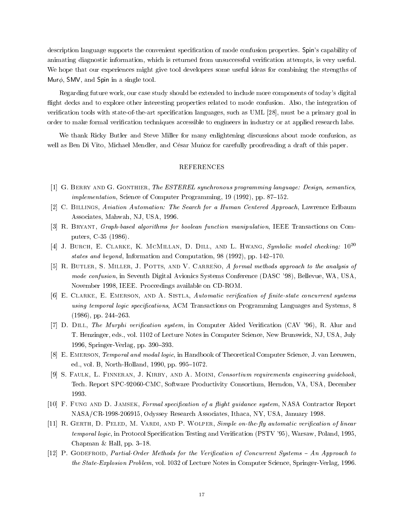description language supports the convenient specication of mode confusion properties. Spin's capability of animating diagnostic information, which is returned from unsuccessful verication attempts, is very useful. We hope that our experiences might give tool developers some useful ideas for combining the strengths of Mur $\phi$ , SMV, and Spin in a single tool.

Regarding future work, our case study should be extended to include more components of today's digital flight decks and to explore other interesting properties related to mode confusion. Also, the integration of verification tools with state-of-the-art specification languages, such as UML [28], must be a primary goal in order to make formal verification techniques accessible to engineers in industry or at applied research labs.

We thank Ricky Butler and Steve Miller for many enlightening discussions about mode confusion, as well as Ben Di Vito, Michael Mendler, and César Muñoz for carefully proofreading a draft of this paper.

## REFERENCES

- [1] G. BERRY AND G. GONTHIER, The ESTEREL synchronous programming language: Design, semantics, *implementation*, Science of Computer Programming, 19 (1992), pp. 87–152.
- [2] C. Billings, Aviation Automation: The Search for a Human Centered Approach, Lawrence Erlbaum Associates, Mahwah, NJ, USA, 1996.
- [3] R. Bryant, Graph-based algorithms for boolean function manipulation, IEEE Transactions on Computers, C-35 (1986).
- [4] J. BURCH, E. CLARKE, K. MCMILLAN, D. DILL, AND L. HWANG, Symbolic model checking:  $10^{20}$ states and beyond, Information and Computation, 98 (1992), pp.  $142-170$ .
- [5] R. BUTLER, S. MILLER, J. POTTS, AND V. CARRENO, A formal methods approach to the analysis of mode confusion, in Seventh Digital Avionics Systems Conference (DASC '98), Bellevue, WA, USA, November 1998, IEEE. Proccedings available on CD-ROM.
- [6] E. CLARKE, E. EMERSON, AND A. SISTLA, Automatic verification of finite-state concurrent systems using temporal logic specifications, ACM Transactions on Programming Languages and Systems, 8  $(1986)$ , pp. 244-263.
- [7] D. DILL, The Murphi verification system, in Computer Aided Verification (CAV '96), R. Alur and T. Henzinger, eds., vol. 1102 of Lecture Notes in Computer Science, New Brunswick, NJ, USA, July 1996, Springer-Verlag, pp. 390-393.
- [8] E. EMERSON, Temporal and modal logic, in Handbook of Theoretical Computer Science, J. van Leeuwen, ed., vol. B, North-Holland, 1990, pp. 995-1072.
- [9] S. FAULK, L. FINNERAN, J. KIRBY, AND A. MOINI, Consortium requirements engineering guidebook, Tech. Report SPC-92060-CMC, Software Productivity Consortium, Herndon, VA, USA, December
- [10] F. FUNG AND D. JAMSEK, Formal specification of a flight guidance system, NASA Contractor Report NASA/CR-1998-206915, Odyssey Research Associates, Ithaca, NY, USA, January 1998.
- [11] R. GERTH, D. PELED, M. VARDI, AND P. WOLPER, Simple on-the-fly automatic verification of linear temporal logic, in Protocol Specification Testing and Verification (PSTV '95), Warsaw, Poland, 1995, Chapman  $\&$  Hall, pp. 3-18.
- $[12]$  P. GODEFROID, Partial-Order Methods for the Verification of Concurrent Systems  $-An$  Approach to the State-Explosion Problem, vol. 1032 of Lecture Notes in Computer Science, Springer-Verlag, 1996.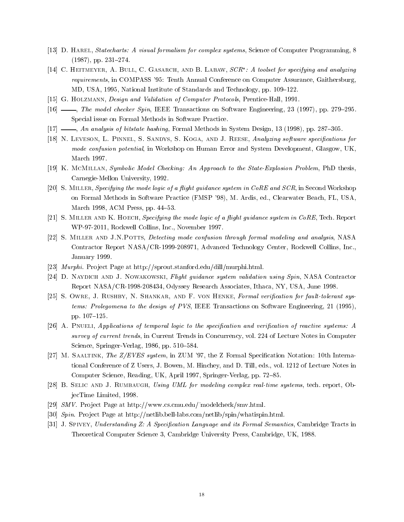- [13] D. HAREL, Statecharts: A visual formalism for complex systems, Science of Computer Programming, 8  $(1987)$ , pp.  $231-274$ .
- [14]  $\circ$ . Heitmeyer, A. Dull,  $\circ$ . Gasarch, and B. Labaw,  $\circ$ Cn : A toolset for specifying and analyzing requirements, in COMPASS '95: Tenth Annual Conference on Computer Assurance, Gaithersburg, MD, USA, 1995, National Institute of Standards and Technology, pp. 109–122.
- [15] G. Holzmann, Design and Validation of Computer Protocols, Prentice-Hall, 1991.
- $[16]$  , The model checker Spin, IEEE Transactions on Software Engineering, 23 (1997), pp. 279–295. Special issue on Formal Methods in Software Practice.
- $[17]$  , An analysis of bitstate hashing, Formal Methods in System Design, 13 (1998), pp. 287–305.
- [18] N. LEVESON, L. PINNEL, S. SANDYS, S. KOGA, AND J. REESE, Analyzing software specifications for mode confusion potential, in Workshop on Human Error and System Development, Glasgow, UK, March 1997.
- [19] K. McMillan, Symbolic Model Checking: An Approach to the State-Explosion Problem, PhD thesis, Carnegie-Mellon University, 1992.
- [20] S. MILLER, Specifying the mode logic of a flight guidance system in CoRE and SCR, in Second Workshop on Formal Methods in Software Practice (FMSP '98), M. Ardis, ed., Clearwater Beach, FL, USA, March 1998, ACM Press, pp.  $44-53$ .
- [21] S. MILLER AND K. HOECH, Specifying the mode logic of a flight guidance system in CoRE, Tech. Report WP-97-2011, Rockwell Collins, Inc., November 1997.
- [22] S. MILLER AND J.N.POTTS, Detecting mode confusion through formal modeling and analysis, NASA Contractor Report NASA/CR-1999-208971, Advanced Technology Center, Rockwell Collins, Inc., January 1999.
- [23] *Murphi*. Project Page at http://sprout.stanford.edu/dill/murphi.html.
- [24] D. NAYDICH AND J. NOWAKOWSKI, Flight guidance system validation using Spin, NASA Contractor Report NASA/CR-1998-208434, Odyssey Research Associates, Ithaca, NY, USA, June 1998.
- [25] S. OWRE, J. RUSHBY, N. SHANKAR, AND F. VON HENKE, Formal verification for fault-tolerant systems: Prolegomena to the design of PVS, IEEE Transactions on Software Engineering, 21 (1995), pp. 107-125.
- [26] A. PNUELI, Applications of temporal logic to the specification and verification of reactive systems: A survey of current trends, in Current Trends in Concurrency, vol. 224 of Lecture Notes in Computer Science, Springer-Verlag, 1986, pp. 510–584.
- [27] M. Saaltink, The Z/EVES system, in ZUM '97, the Z Formal Specication Notation: 10th International Conference of Z Users, J. Bowen, M. Hinchey, and D. Till, eds., vol. 1212 of Lecture Notes in Computer Science, Reading, UK, April 1997, Springer-Verlag, pp. 72-85.
- [28] B. SELIC AND J. RUMBAUGH, Using UML for modeling complex real-time systems, tech. report, ObjecTime Limited, 1998.
- [29] SMV. Project Page at http://www.cs.cmu.edu/~modelcheck/smv.html.
- [30] Spin. Pro ject Page at http://netlib.bell-labs.com/netlib/spin/whatispin.html.
- [31] J. SPIVEY, Understanding Z: A Specification Language and its Formal Semantics, Cambridge Tracts in Theoretical Computer Science 3, Cambridge University Press, Cambridge, UK, 1988.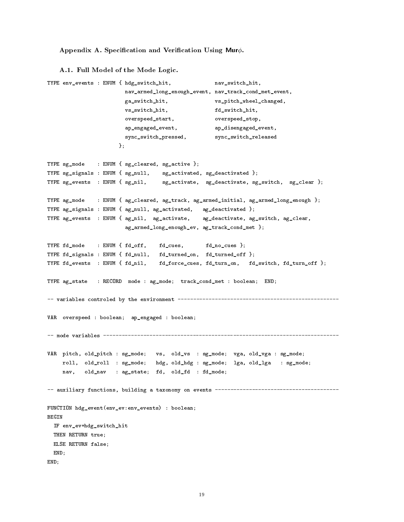## Appendix A. Specification and Verification Using Mur $\phi$ .

```
A.1. Full Model of the Mode Logic.
```

```
TYPE env_events : ENUM { hdg_switch_hit, nav_switch_hit,
                       nav_armed_long_enough_event, nav_track_cond_met_event,
                       ga_switch_hit, vs_pitch_wheel_changed,
                       vs_switch_hit, fd_switch_hit,
                       overspeed_start, overspeed_stop,
                       ap_engaged_event, ap_disengaged_event,
                       sync_switch_pressed, sync_switch_released
                     };
TYPE sg_mode : ENUM { sg_cleared, sg_active };
TYPE sg_signals : ENUM { sg_null, sg_activated, sg_deactivated };
TYPE sg_events : ENUM { sg_nil, sg_activate, sg_deactivate, sg_switch, sg_clear };
TYPE ag_mode : ENUM { ag_cleared, ag_track, ag_armed_initial, ag_armed_long_enough };
TYPE ag_signals : ENUM { ag_null, ag_activated, ag_deactivated };
TYPE ag_events : ENUM { ag_nil, ag_activate, ag_deactivate, ag_switch, ag_clear,
                       ag_armed_long_enough_ev, ag_track_cond_met };
TYPE fd_mode : ENUM { fd_off, fd_cues, fd_no_cues };
TYPE fd_signals : ENUM { fd_null, fd_turned_on, fd_turned_off };
TYPE fd_events : ENUM { fd_nil, fd_force_cues, fd_turn_on, fd_switch, fd_turn_off };
TYPE ag_state : RECORD mode : ag_mode; track_cond_met : boolean; END;
-- variables controled by the environment ----------------------------------------------------
VAR overspeed : boolean; ap_engaged : boolean;
-- mode variables ----------------------------------------------------------------------------
VAR pitch, old_pitch : sg_mode; vs, old_vs : sg_mode; vga, old_vga : sg_mode;
    roll, old_roll : sg_mode; hdg, old_hdg : sg_mode; lga, old_lga : sg_mode;
    nav, old_nav : ag_state; fd, old_fd : fd_mode;
-- auxiliary functions, building a taxonomy on events ----------------------------------------
FUNCTION hdg_event(env_ev:env_events) : boolean;
BEGIN
 IF env_ev=hdg_switch_hit
 THEN RETURN true;
 ELSE RETURN false;
 END;
END;
```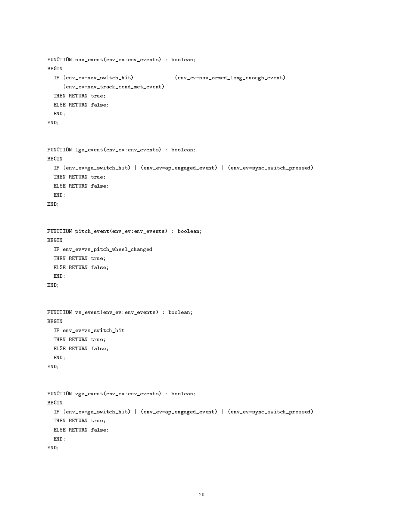```
FUNCTION nav_event(env_ev:env_events) : boolean;
BEGIN
  IF (env_ev=nav_switch_hit) | (env_ev=nav_armed_long_enough_event) |
     (env_ev=nav_track_cond_met_event)
 THEN RETURN true;
 ELSE RETURN false;
 END;
END;
FUNCTION lga_event(env_ev:env_events) : boolean;
BEGIN
  IF (env_ev=ga_switch_hit) | (env_ev=ap_engaged_event) | (env_ev=sync_switch_pressed)
 THEN RETURN true;
 ELSE RETURN false;
 END;
END;
FUNCTION pitch_event(env_ev:env_events) : boolean;
BEGIN
 IF env_ev=vs_pitch_wheel_changed
 THEN RETURN true;
 ELSE RETURN false;
 END;
END;
FUNCTION vs_event(env_ev:env_events) : boolean;
 IF env_ev=vs_switch_hit
 THEN RETURN true;
 ELSE RETURN false;
 END;
END;
FUNCTION vga_event(env_ev:env_events) : boolean;
BEGIN
 IF (env_ev=ga_switch_hit) | (env_ev=ap_engaged_event) | (env_ev=sync_switch_pressed)
 THEN RETURN true;
 ELSE RETURN false;
 END;
END;
```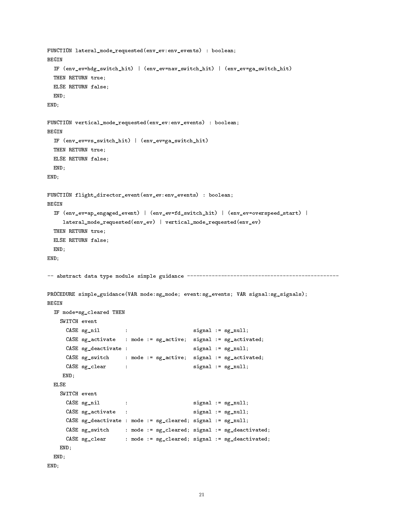```
FUNCTION lateral_mode_requested(env_ev:env_events) : boolean;
BEGIN
 IF (env_ev=hdg_switch_hit) | (env_ev=nav_switch_hit) | (env_ev=ga_switch_hit)
 THEN RETURN true;
 ELSE RETURN false;
 END;
END;
FUNCTION vertical_mode_requested(env_ev:env_events) : boolean;
BEGIN
 IF (env_ev=vs_switch_hit) | (env_ev=ga_switch_hit)
 THEN RETURN true;
 ELSE RETURN false;
 END;
END;
FUNCTION flight_director_event(env_ev:env_events) : boolean;
BEGIN
 IF (env_ev=ap_engaged_event) | (env_ev=fd_switch_hit) | (env_ev=overspeed_start) |
    lateral_mode_requested(env_ev) | vertical_mode_requested(env_ev)
 THEN RETURN true;
 ELSE RETURN false;
 END;
END;
-- abstract data type module simple guidance -------------------------------------------------
PROCEDURE simple_guidance(VAR mode:sg_mode; event:sg_events; VAR signal:sg_signals);
BEGIN
 IF mode=sg_cleared THEN
   SWITCH event
     CASE sg__nil : signal := sg_null;
                      \sim :
     CASE sg_activate : mode := sg_active; signal := sg_activated;
     CASE sg_deactivate : signal := sg_null;
     CASE sg_switch : mode := sg_active; signal := sg_activated;
     CASE sg_clear : signal := sg_null;
    END;
     \texttt{CASE sg}_nil \qquad : \qquad \qquad \texttt{signal} \; : \; \texttt{sg}_null \, ;CASE sg_activate :<br>signal := sg_null;CASE sg_deactivate : mode := sg_cleared; signal := sg_null;
     CASE sg_switch : mode := sg_cleared; signal := sg_deactivated;
     CASE sg_clear : mode := sg_cleared; signal := sg_deactivated;
   END;
 END;
END;
```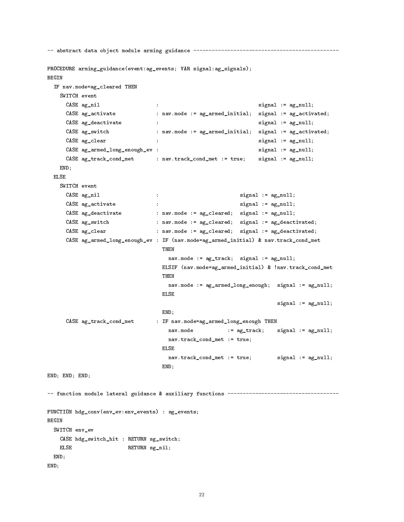```
-- abstract data object module arming guidance -----------------------------------------------
PROCEDURE arming_guidance(event:ag_events; VAR signal:ag_signals);
 IF nav.mode=ag_cleared THEN
   SWITCH event
     CASE \alphag_nil : signal := \alphag_null;
     CASE ag_activate : nav.mode := ag_armed_initial; signal := ag_activated;
     CASE ag_deactivate : \qquad \qquad : signal := ag_null;
     CASE ag_switch : nav.mode := ag_armed_initial; signal := ag_activated;
     CASE ag_clear : signal := ag_null;
                              \cdotCASE ag_armed_long_enough_ev : signal := ag_null;
     CASE ag_track_cond_met : nav.track_cond_met := true; signal := ag_null;
   END;
 ELSE
   SWITCH event
     CASE ag_nil \qquad \qquad : signal := ag_null;
     CASE ag_activate : \qquad \qquad : \qquad \qquad signal := ag_null;
                              \sim \simCASE ag_deactivate : nav.mode := ag_cleared; signal := ag_null;
     CASE ag_switch : nav.mode := ag_cleared; signal := ag_deactivated;
     CASE ag_clear : nav.mode := ag_cleared; signal := ag_deactivated;
     CASE ag_armed_long_enough_ev : IF (nav.mode=ag_armed_initial) & nav.track_cond_met
                                THEN
                                 nav.mode := ag_track; signal := ag_null;
                                ELSIF (nav.mode=ag_armed_initial) & !nav.track_cond_met
                                THEN
                                 nav.mode := ag_armed_long_enough; signal := ag_null;
                                ELSE
                                                                signal := ag_null;
                                END;
     CASE ag_track_cond_met : IF nav.mode=ag_armed_long_enough THEN
                                  nav.mode := ag_track; signal := ag_null;
                                 nav.track_cond_met := true;
                                ELSE
                                 nav.track_cond_met := true;    signal := ag_null;
                                END;
END; END; END;
-- function module lateral guidance & auxiliary functions ------------------------------------
FUNCTION hdg_conv(env_ev:env_events) : sg_events;
BEGIN
 SWITCH env_ev
   CASE hdg_switch_hit : RETURN sg_switch;
   ELSE
                      RETURN sg_nil;
 END;
END;
```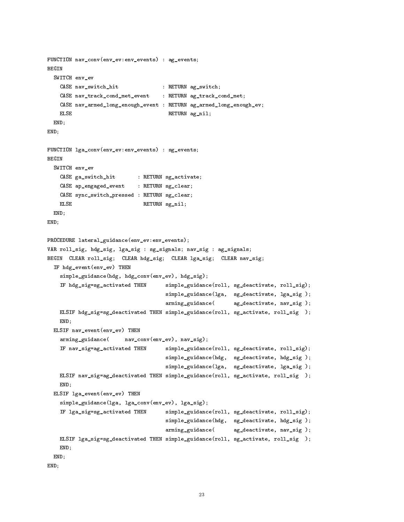```
FUNCTION nav_conv(env_ev:env_events) : ag_events;
BEGIN
  SWITCH env_ev
   CASE nav_switch_hit : RETURN ag_switch;
   CASE nav_track_cond_met_event : RETURN ag_track_cond_met;
   CASE nav_armed_long_enough_event : RETURN ag_armed_long_enough_ev;
   ELSE
                                     RETURN ag_nil;
 END;
END;
FUNCTION lga_conv(env_ev:env_events) : sg_events;
BEGIN
  SWITCH env_ev
   CASE ga_switch_hit : RETURN sg_activate;
   CASE ap_engaged_event : RETURN sg_clear;
   CASE sync_switch_pressed : RETURN sg_clear;
   ELSE RETURN sg_nil;
 END;
END;
PROCEDURE lateral_guidance(env_ev:env_events);
VAR roll_sig, hdg_sig, lga_sig : sg_signals; nav_sig : ag_signals;
BEGIN CLEAR roll_sig; CLEAR hdg_sig; CLEAR lga_sig; CLEAR nav_sig;
  IF hdg_event(env_ev) THEN
    simple_guidance(hdg, hdg_conv(env_ev), hdg_sig);
    IF hdg_sig=sg_activated THEN simple_guidance(roll, sg_deactivate, roll_sig);
                                    simple_guidance(lga, sg_deactivate, lga_sig );
                                    arming_guidance( ag_deactivate, nav_sig );
   ELSIF hdg_sig=sg_deactivated THEN simple_guidance(roll, sg_activate, roll_sig );
   END;
  ELSIF nav_event(env_ev) THEN
    arming_guidance( nav_conv(env_ev), nav_sig);
    IF nav_sig=ag_activated THEN simple_guidance(roll, sg_deactivate, roll_sig);
                                    simple_guidance(hdg, sg_deactivate, hdg_sig );
                                    simple_guidance(lga, sg_deactivate, lga_sig );
   ELSIF nav_sig=ag_deactivated THEN simple_guidance(roll, sg_activate, roll_sig );
   END;
 ELSIF lga_event(env_ev) THEN
    simple_guidance(lga, lga_conv(env_ev), lga_sig);
   IF lga_sig=sg_activated THEN simple_guidance(roll, sg_deactivate, roll_sig);
                                    simple_guidance(hdg, sg_deactivate, hdg_sig );
                                    arming_guidance( ag_deactivate, nav_sig );
   ELSIF lga_sig=sg_deactivated THEN simple_guidance(roll, sg_activate, roll_sig );
   END;
 END;
END;
```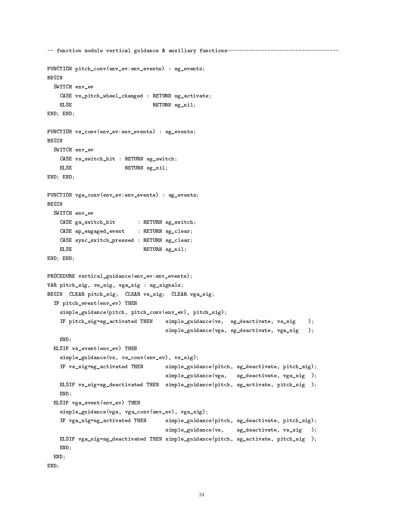```
-- function module vertical guidance & auxiliary functions------------------------------------
FUNCTION pitch_conv(env_ev:env_events) : sg_events;
  SWITCH env_ev
    CASE vs_pitch_wheel_changed : RETURN sg_activate;
    ELSE RETURN sg_nil;
END; END;
FUNCTION vs_conv(env_ev:env_events) : sg_events;
BEGIN
  SWITCH env_ev
    CASE vs_switch_hit : RETURN sg_switch;
    ELSE
                           RETURN sg_nil;END; END;
FUNCTION vga_conv(env_ev:env_events) : sg_events;
BEGIN
  SWITCH env_ev
    CASE ga_switch_hit : RETURN sg_switch;
    CASE ap_engaged_event : RETURN sg_clear;
    CASE sync_switch_pressed : RETURN sg_clear;
    ELSE RETURN sg_nil;
END; END;
PROCEDURE vertical_guidance(env_ev:env_events);
VAR pitch_sig, vs_sig, vga_sig : sg_signals;
BEGIN CLEAR pitch_sig; CLEAR vs_sig; CLEAR vga_sig;
  IF pitch_event(env_ev) THEN
    simple_guidance(pitch, pitch_conv(env_ev), pitch_sig);
    IF pitch_sig=sg_activated THEN simple_guidance(vs, sg_deactivate, vs_sig );
                                         simple_guidance(vga, sg_deactivate, vga_sig );
    END;
  ELSIF vs_event(env_ev) THEN
    simple_guidance(vs, vs_conv(env_ev), vs_sig);
    IF vs_sig=sg_activated THEN simple_guidance(pitch, sg_deactivate, pitch_sig);
                                         simple_guidance(vga, sg_deactivate, vga_sig );
    ELSIF vs_sig=sg_deactivated THEN simple_guidance(pitch, sg_activate, pitch_sig );
    endo de la construcción de la construcción de la construcción de la construcción de la construcción de la construcción de la construcción de la construcción de la construcción de la construcción de la construcción de la co
  ELSIF vga_event(env_ev) THEN
    simple_guidance(vga, vga_conv(env_ev), vga_sig);
    IF vga_sig=sg_activated THEN simple_guidance(pitch, sg_deactivate, pitch_sig);
                                         simple_guidance(vs, sg_deactivate, vs_sig
                                                                                           \rightarrowELSIF vga_sig=sg_deactivated THEN simple_guidance(pitch, sg_activate, pitch_sig );
    END;
 END;
END;
```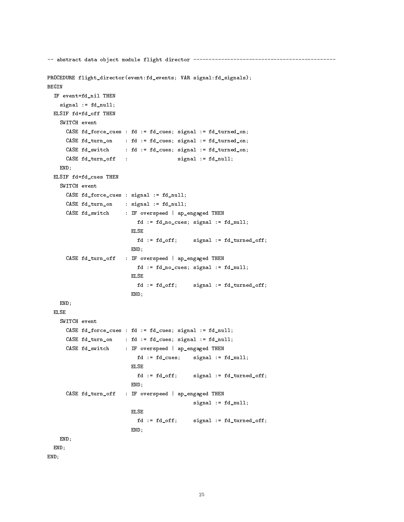```
-- abstract data object module flight director ----------------------------------------------
PROCEDURE flight_director(event:fd_events; VAR signal:fd_signals);
BEGIN
  IF event=fd_nil THEN
    signal := fd\_null;ELSIF fd=fd_off THEN
    SWITCH event
     CASE fd_force_cues : fd := fd_cues; signal := fd_turned_on;
     CASE fd_turn_on : fd := fd_cues; signal := fd_turned_on;
     CASE fd_switch : fd := fd_cues; signal := fd_turned_on;
     CASE fd_turn_off : signal := fd_null;
   END;
 ELSIF fd=fd_cues THEN
    SWITCH event
     CASE fd_force_cues : signal := fd_null;
     CASE fd_turn_on : signal := fd_null;
     CASE fd_switch : IF overspeed | ap_engaged THEN
                           fd := fd_no_cues; signal := fd_null;
                         ELSE
                            fd := fd_off; signal := fd_turned_off;END;
     CASE fd_turn_off : IF overspeed | ap_engaged THEN
                           fd := fd_no_cues; signal := fd_null;
                          ELSE
                           fd := fd_off; signal := fd_turned_off;
                          END;
   END;
 ELSE
    SWITCH event
     CASE fd_force_cues : fd := fd_cues; signal := fd_null;
     CASE fd_turn_on : fd := fd_cues; signal := fd_null;
     CASE fd_switch : IF overspeed | ap_engaged THEN
                           fd := fd_cues; signal := fd_null;
                         ELSE
                           fd := fd_off; signal := fd_turned_off;
                          END;
     CASE fd_turn_off : IF overspeed | ap_engaged THEN
                                             signal := fd_null;
                         ELSE
                            fd := fd_off; signal := fd_turned_off;
                         END;
   END;
 END;
END;
```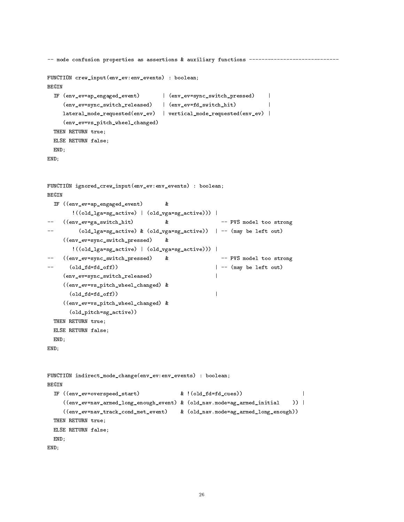```
-- mode confusion properties as assertions & auxiliary functions ----------------------------
FUNCTION crew_input(env_ev:env_events) : boolean;
BEGIN
  IF (env_ev=ap_engaged_event) | (env_ev=sync_switch_pressed) |
                                                                          \mathbf{I}(env_ev=sync_switch_released) | (env_ev=fd_switch_hit) |
                                                                          \mathbf{I}lateral_mode_requested(env_ev) | vertical_mode_requested(env_ev) |
     (env_ev=vs_pitch_wheel_changed)
 THEN RETURN true;
 ELSE RETURN false;
 END;
END;
FUNCTION ignored_crew_input(env_ev:env_events) : boolean;
BEGIN
 IF ((env_ev=ap_engaged_event) &
                                       \mathbf{z}!((old_lga=sg_active) | (old_vga=sg_active))) |
     -- ((env_ev=ga_switch_hit) & -- PVS model too strong
-\text{(old\_lga=sg\_active)} & \text{(old\_vga=sg\_active)} | -- (may be left out)
\overline{a}((env_ev=sync_switch_pressed) &
                                       \mathbf{z}!((old_lga=sg_active) | (old_vga=sg_active))) |
   -- ((env_ev=sync_switch_pressed) & -- PVS model too strong
                                       &
\qquad \qquad -\overline{a}\text{(old_fd=fd_off)}) | -- (may be left out)
                                                        \mathbf{I}(env_ev=sync_switch_released) |
     ((env_ev=vs_pitch_wheel_changed) &
       \text{(old_fd=fd_off)})\mathbf{I}((env_ev=vs_pitch_wheel_changed) &
       (old_pitch=sg_active))
 THEN RETURN true;
 ELSE RETURN false;
 END;
END;
FUNCTION indirect_mode_change(env_ev:env_events) : boolean;
  IF ((env_ev=overspeed_start) & !(old_fd=fd_cues)) |
     ((env_ev=nav_armed_long_enough_event) & (old_nav.mode=ag_armed_initial )) |
                                                                                  )) |
     ((env_ev=nav_track_cond_met_event) & (old_nav.mode=ag_armed_long_enough))
 THEN RETURN true;
 ELSE RETURN false;
 END;
END;
```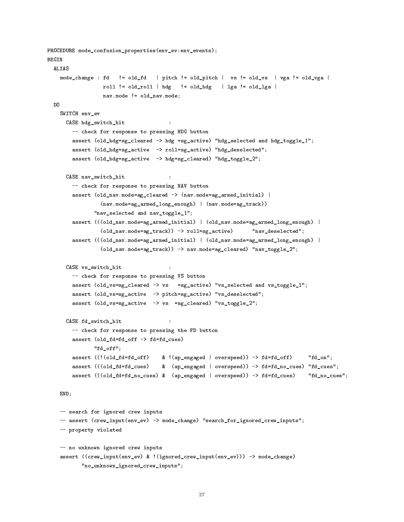```
PROCEDURE mode_confusion_properties(env_ev:env_events);
BEGIN
 ALIAS
    mode_change : fd != old_fd | pitch != old_pitch | vs != old_vs | vga != old_vga |
                    roll != old_roll | hdg := old_hdg | lga != old_lga |
                   nav.mode != old_nav.mode;
 D<sub>0</sub>
    SWITCH env_ev
      CASE hdg_switch_hit :
        -- check for response to pressing HDG button
        assert (old_hdg=sg_cleared -> hdg =sg_active) "hdg_selected and hdg_toggle_1";
        assert (old_hdg=sg_active -> roll=sg_active) "hdg_deselected";
         assert (old_hdg=sg_active -> hdg=sg_cleared) "hdg_toggle_2";
      CASE nav_switch_hit :
        -- check for response to pressing NAV button
        assert (old_nav.mode=ag_cleared -> (nav.mode=ag_armed_initial) |
                   (nav.mode=ag_armed_long_enough) | (nav.mode=ag_track))
                "nav_selected and nav_toggle_1";
        assert (((old_nav.mode=ag_armed_initial) | (old_nav.mode=ag_armed_long_enough) |
                   (old_nav.mode=ag_track)) -> roll=sg_active) "nav_deselected";
         assert (((old_nav.mode=ag_armed_initial) | (old_nav.mode=ag_armed_long_enough) |
                   (old_nav.mode=ag_track)) -> nav.mode=ag_cleared) "nav_toggle_2";
      CASE vs_switch_hit :
        -- check for response to pressing VS button
        assert (old_vs=sg_cleared -> vs =sg_active) "vs_selected and vs_toggle_1";
        assert (old_vs=sg_active -> pitch=sg_active) "vs_deselected";
        assert (old_vs=sg_active -> vs =sg_cleared) "vs_toggle_2";
      CASE fd_switch_hit :
                                           \ddot{\phantom{1}}-- check for response to pressing the FD button
        assert (old_fd=fd_off -> fd=fd_cues)
                "fd_off";
        assert ((!(old_fd=fd_off) & !(ap_engaged | overspeed)) -> fd=fd_off) "fd_on";
        assert (((old_fd=fd_cues) & (ap_engaged | overspeed)) -> fd=fd_no_cues) "fd_cues";
        assert (((old_fd=fd_no_cues) & (ap_engaged | overspeed)) -> fd=fd_cues) "fd_no_cues";
    endo de la construcción de la construcción de la construcción de la construcción de la construcción de la construcción de la construcción de la construcción de la construcción de la construcción de la construcción de la co
    -- search for ignored crew inputs
    -- assert (crew_input(env_ev) -> mode_change) "search_for_ignored_crew_inputs";
    -- property violated
    -- no unknown ignored crew inputs
    assert ((crew_input(env_ev) & !(ignored_crew_input(env_ev))) -> mode_change)
            "no_unknown_ignored_crew_inputs";
```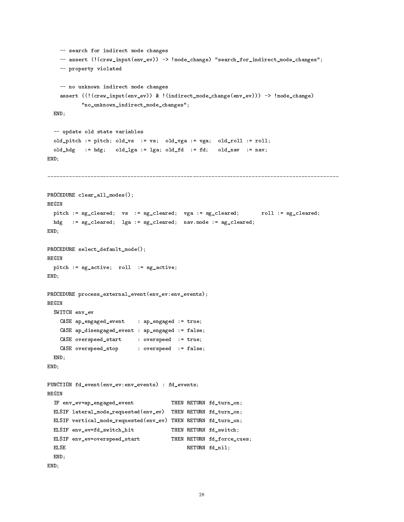```
-- search for indirect mode changes
    -- assert (!(crew_input(env_ev)) -> !mode_change) "search_for_indirect_mode_changes";
    -- property violated
    -- no unknown indirect mode changes
    assert ((!(crew_input(env_ev)) & !(indirect_mode_change(env_ev))) -> !mode_change)
            "no_unknown_indirect_mode_changes";
  End of the contract of the contract of the contract of the contract of the contract of the contract of the contract of the contract of the contract of the contract of the contract of the contract of the contract of the con
  -- update old state variables
  old_pitch := pitch; old_vs := vs; old_vga := vga; old_roll := roll;
  old_hdg := hdg; old_lga := lga; old_fd := fd; old_nav := nav;
END;
PROCEDURE clear_all_modes();
BEGIN
 pitch := sg_cleared; vs := sg_cleared; vga := sg_cleared; roll := sg_cleared;
 hdg := sg_cleared; lga := sg_cleared; nav.mode := ag_cleared;
END;
PROCEDURE select_default_mode();
 pitch := sg_active; roll := sg_active;
END;
PROCEDURE process_external_event(env_ev:env_events);
BEGIN
  SWITCH env_ev
    CASE ap_engaged_event : ap_engaged := true;
    CASE ap_disengaged_event : ap_engaged := false;
    CASE overspeed_start : overspeed := true;
   CASE overspeed_stop : overspeed := false;
 END;
END;
FUNCTION fd_event(env_ev:env_events) : fd_events;
 IF env_ev=ap_engaged_event THEN RETURN fd_turn_on;
 ELSIF lateral_mode_requested(env_ev) THEN RETURN fd_turn_on;
 ELSIF vertical_mode_requested(env_ev) THEN RETURN fd_turn_on;
 ELSIF env_ev=fd_switch_hit THEN RETURN fd_switch;
  ELSIF env_ev=overspeed_start THEN RETURN fd_force_cues;
  ELSE RETURN for the control of the control of the control of the control of the control of the control of the c
 END;
END;
```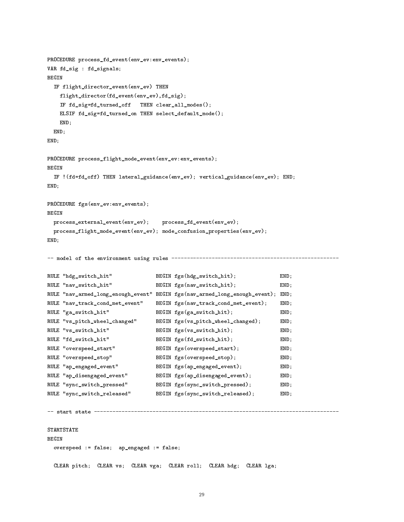```
PROCEDURE process_fd_event(env_ev:env_events);
VAR fd_sig : fd_signals;
 IF flight_director_event(env_ev) THEN
   flight_director(fd_event(env_ev),fd_sig);
   IF fd_sig=fd_turned_off THEN clear_all_modes();
   ELSIF fd_sig=fd_turned_on THEN select_default_mode();
   END;
 END;
END;
PROCEDURE process_flight_mode_event(env_ev:env_events);
BEGIN
 IF !(fd=fd_off) THEN lateral_guidance(env_ev); vertical_guidance(env_ev); END;
END;
PROCEDURE fgs(env_ev:env_events);
BEGIN
 process_external_event(env_ev); process_fd_event(env_ev);
 process_flight_mode_event(env_ev); mode_confusion_properties(env_ev);
END;
-- model of the environment using rules ------------------------------------------------------
RULE "hdg_switch_hit" BEGIN fgs(hdg_switch_hit); END;
RULE "nav_switch_hit" BEGIN fgs(nav_switch_hit); END;
RULE "nav_armed_long_enough_event" BEGIN fgs(nav_armed_long_enough_event); END;
RULE "nav_track_cond_met_event" BEGIN fgs(nav_track_cond_met_event); END;
RULE "ga_switch_hit" BEGIN fgs(ga_switch_hit); END;
RULE "vs_pitch_wheel_changed" BEGIN fgs(vs_pitch_wheel_changed); END;
RULE "vs_switch_hit" BEGIN fgs(vs_switch_hit); END;
RULE "fd_switch_hit" BEGIN fgs(fd_switch_hit); END;
RULE "overspeed_start" BEGIN fgs(overspeed_start); END;
RULE "overspeed_stop" BEGIN fgs(overspeed_stop); END;
RULE "ap_engaged_event" BEGIN fgs(ap_engaged_event); FND;
RULE "ap_disengaged_event" BEGIN fgs(ap_disengaged_event); END;
RULE "sync_switch_pressed" BEGIN fgs(sync_switch_pressed); END;
RULE "sync_switch_released" BEGIN fgs(sync_switch_released); END;
STARTSTATE
BEGIN
 overspeed := false; ap_engaged := false;
 CLEAR pitch; CLEAR vs; CLEAR vga; CLEAR roll; CLEAR hdg; CLEAR lga;
```

```
29
```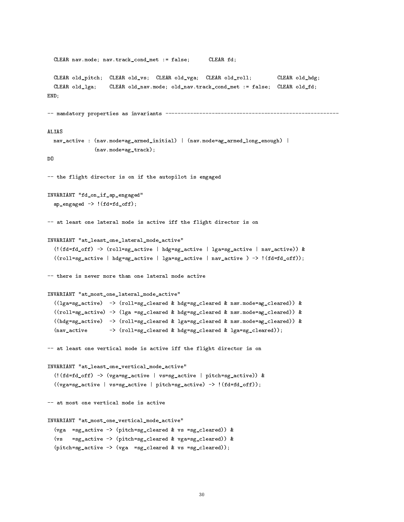```
CLEAR nav.mode; nav.track_cond_met := false;
                                                      CLEAR fd:
  CLEAR old_pitch; CLEAR old_vs; CLEAR old_vga; CLEAR old_roll; CLEAR old_hdg;
  CLEAR old_lga; CLEAR old_nav.mode; old_nav.track_cond_met := false; CLEAR old_fd;
END;
-- mandatory properties as invariants --------------------------------------------------------
ALIAS
  nav_active : (nav.mode=ag_armed_initial) | (nav.mode=ag_armed_long_enough) |
                (nav.mode=ag_track);
D<sub>0</sub>
-- the flight director is on if the autopilot is engaged
INVARIANT "fd_on_if_ap_engaged"
  ap_engaged -> !(fd=fd_off);
-- at least one lateral mode is active iff the flight director is on
INVARIANT "at_least_one_lateral_mode_active"
  (!(fd=fd_off) -> (roll=sg_active | hdg=sg_active | lga=sg_active | nav_active)) &
  ((\text{roll=sg}_\text{active} \mid \text{hdg=sg}_\text{active} \mid \text{lga=sg}_\text{active} \mid \text{nav}_\text{active}) \rightarrow ((\text{fd}_\text{off}));-- there is never more than one lateral mode active
INVARIANT "at_most_one_lateral_mode_active"
  ((lga=sg_active) -> (roll=sg_cleared & hdg=sg_cleared & nav.mode=ag_cleared)) &
  ((roll=sg_active) -> (lga =sg_cleared & hdg=sg_cleared & nav.mode=ag_cleared)) &
  ((hdg=sg_active) -> (roll=sg_cleared & lga=sg_cleared & nav.mode=ag_cleared)) &
  (nav_active -> (roll=sg_cleared & hdg=sg_cleared & lga=sg_cleared));
-- at least one vertical mode is active iff the flight director is on
INVARIANT "at_least_one_vertical_mode_active"
  (!(fd=fd_off) -> (vga=sg_active | vs=sg_active | pitch=sg_active)) &
  ((vga=sg_active | vs=sg_active | pitch=sg_active) -> !(fd=fd_off));
-- at most one vertical mode is active
INVARIANT "at_most_one_vertical_mode_active"
  (vga =sg_active -> (pitch=sg_cleared & vs =sg_cleared)) &
  (vs =sg_active -> (pitch=sg_cleared & vga=sg_cleared)) &
  (pitch=sg_active -> (vga =sg_cleared & vs =sg_cleared));
```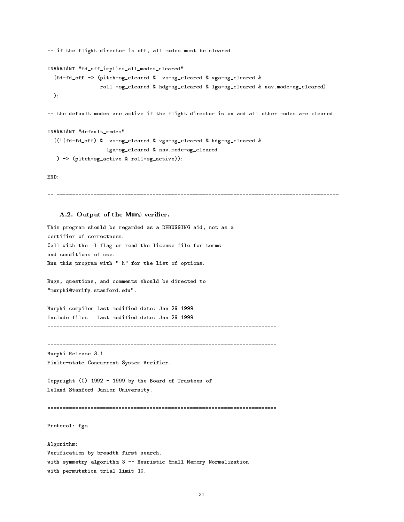```
-- if the flight director is off, all modes must be cleared
INVARIANT "fd_off_implies_all_modes_cleared"
  (fd=fd_off -> (pitch=sg_cleared & vs=sg_cleared & vga=sg_cleared &
                 roll =sg_cleared & hdg=sg_cleared & lga=sg_cleared & nav.mode=ag_cleared)
 );
-- the default modes are active if the flight director is on and all other modes are cleared
INVARIANT "default_modes"
  ((!(fd=fd_off) & vs=sg_cleared & vga=sg_cleared & hdg=sg_cleared &
                   lga=sg_cleared & nav.mode=ag_cleared
  ) -> (pitch=sg_active & roll=sg_active));
```
END;

## A.2. Output of the Mur $\phi$  verifier.

This program should be regarded as a DEBUGGING aid, not as a certifier of correctness. Call with the -l flag or read the license file for terms and conditions of use. Run this program with "-h" for the list of options.

Bugs, questions, and comments should be directed to "murphi@verify.stanford.edu".

Murphi compiler last modified date: Jan 29 1999 Include files last modified date: Jan 29 1999 

Murphi Release 3.1

Finite-state Concurrent System Verifier.

Copyright (C) 1992 - 1999 by the Board of Trustees of Leland Stanford Junior University.

Protocol: fgs

Algorithm: Verification by breadth first search. with symmetry algorithm 3 -- Heuristic Small Memory Normalization with permutation trial limit 10.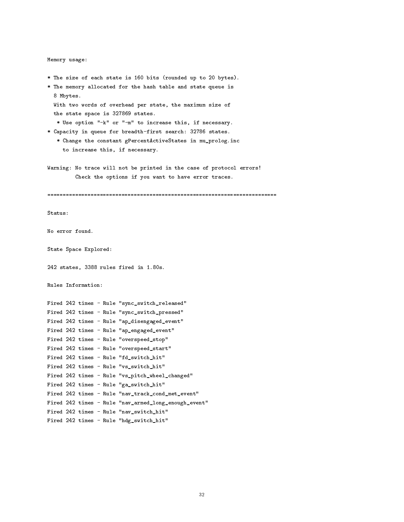```
Memory usage:
```
\* The size of each state is 160 bits (rounded up to 20 bytes). \* The memory allocated for the hash table and state queue is 8 Mbytes. With two words of overhead per state, the maximum size of the state space is 327869 states. \* Use option "-k" or "-m" to increase this, if necessary. \* Capacity in queue for breadth-first search: 32786 states. \* Change the constant gPercentActiveStates in mu\_prolog.inc to increase this, if necessary. Warning: No trace will not be printed in the case of protocol errors! Check the options if you want to have error traces. Status: No error found. State Space Explored: 242 states, 3388 rules fired in 1.80s. Rules Information: Fired 242 times - Rule "sync\_switch\_released" Fired 242 times - Rule "sync\_switch\_pressed" Fired 242 times - Rule "ap\_disengaged\_event" Fired 242 times - Rule "ap\_engaged\_event" Fired 242 times - Rule "overspeed\_stop" Fired 242 times - Rule "overspeed\_start" Fired 242 times - Rule "fd\_switch\_hit" Fired 242 times - Rule "vs\_switch\_hit" Fired 242 times - Rule "vs\_pitch\_wheel\_changed" Fired 242 times - Rule "ga\_switch\_hit" Fired 242 times - Rule "nav\_track\_cond\_met\_event" Fired 242 times - Rule "nav\_armed\_long\_enough\_event" Fired 242 times - Rule "nav\_switch\_hit" Fired 242 times - Rule "hdg\_switch\_hit"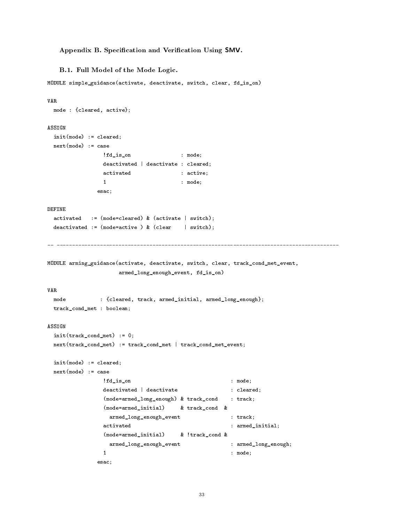# Appendix B. Specification and Verification Using SMV.

B.1. Full Model of the Mode Logic.

MODULE simple\_guidance(activate, deactivate, switch, clear, fd\_is\_on)

```
VAR
 mode : {cleared, active};
ASSIGN
 init(mode) := cleared;
 next(mode) := case
              !fd_is_on : mode;
              deactivated | deactivate : cleared;
              activated : active;
              \mathbf{1}: mode;
             esac;
 activated := (mode=cleared) & (activate | switch);
 deactivated := (mode=active) & (clear \t | switch);MODULE arming_guidance(activate, deactivate, switch, clear, track_cond_met_event,
                  armed_long_enough_event, fd_is_on)
VAR
 mode
              : {cleared, track, armed_initial, armed_long_enough};
 track_cond_met : boolean;
ASSIGN
 init(track_cond_met) := 0;
 next(track_cond_met) := track_cond_met | track_cond_met_event;
 init(mode) := cleared;
 next(mode) := case
               !fd_is_on : mode;
              deactivated | deactivate \qquad : cleared;
               (mode=armed_long_enough) & track_cond : track;
               (mode=armed_initial) & track_cond &
                armed_long_enough_event : track;
               activated : armed_initial;
               (mode=armed_initial) & !track_cond &
                armed_long_enough_event : armed_long_enough;
              \mathbf{1}: mode;
```

```
esac;
```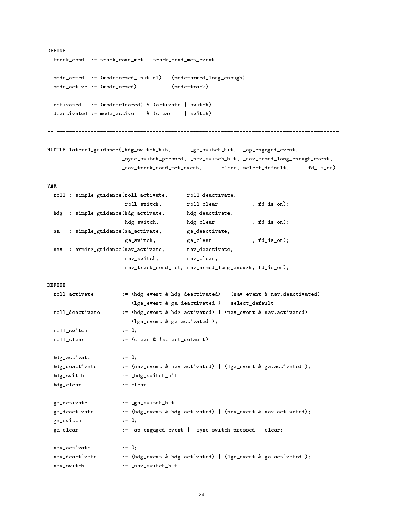```
DEFINE
 track_cond := track_cond_met | track_cond_met_event;
 mode_armed := (mode=armed_initial) | (mode=armed_long_enough);
 \text{mode}\_\text{active} := (\text{mode}\_\text{armed}) | (\text{mode}\_\text{track});
 activated
          := (mode=cleared) & (activate | switch);
 deactivated := mode_active \& (clear | switch);
 MODULE lateral_guidance(_hdg_switch_hit, _ga_switch_hit, _ap_engaged_event,
                    _sync_switch_pressed, _nav_switch_hit, _nav_armed_long_enough_event,
                    _nav_track_cond_met_event, clear, select_default, fd_is_on)
VAR
 roll : simple_guidance(roll_activate, roll_deactivate,
                    roll_switch, roll\_clear, fd\_is\_on);hdg : simple_guidance(hdg_activate, hdg_deactivate,
                    hdg_switch, hdg_clear , fd_is_on);
 ga : simple_guidance(ga_activate, ga_deactivate,
                     ga_switch, ga_clear , fd_is_on);
 nav : arming_guidance(nav_activate, nav_deactivate,
                     nav_switch, nav_clear,
                     nav_track_cond_met, nav_armed_long_enough, fd_is_on);
 roll_activate := (hdg_event & hdg.deactivated) | (nav_event & nav.deactivated) |
                      (lga_event & ga.deactivated ) | select_default;
 roll_deactivate := (hdg_event & hdg.activated) | (nav_event & nav.activated) |
                      (lga_event & ga.activated );
 roll_switch := 0;
 roll_clear := (clear & !select_default);
 hdg_activate := 0;
 hdg_deactivate := (nav_event & nav.activated) | (lga_event & ga.activated);
 hdg_switch := _hdg_switch_hit;
 hdg_clear := clear;
 ga_activate := _ga_switch_hit;
 ga_deactivate := (hdg_event & hdg.activated) | (nav_event & nav.activated);
 ga_switch := 0;
 ga_clear := _ap_engaged_event | _sync_switch_pressed | clear;
 nav_activate := 0;
 nav_deactivate := (hdg_event & hdg.activated) | (lga_event & ga.activated);
 nav_switch := _nav_switch_hit;
```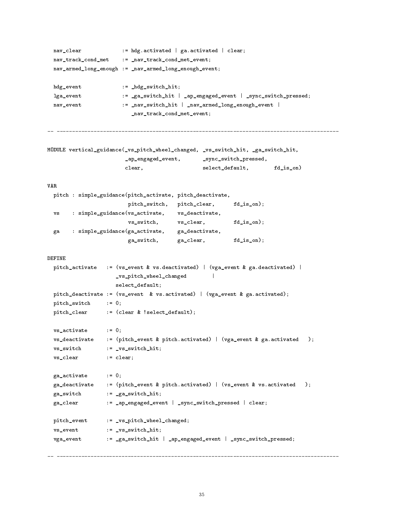```
nav_clear := hdg.activated | ga.activated | clear;
 nav_track_cond_met := _nav_track_cond_met_event;
 nav_armed_long_enough := _nav_armed_long_enough_event;
 hdg_event := _hdg_switch_hit;
 lga_event := _ga_switch_hit | _ap_engaged_event | _sync_switch_pressed;
 nav_event := _nav_switch_hit | _nav_armed_long_enough_event |
                      _nav_track_cond_met_event;
    MODULE vertical_guidance(_vs_pitch_wheel_changed, _vs_switch_hit, _ga_switch_hit,
                     _ap_engaged_event, _sync_switch_pressed,
                     clear, select_default, fd_is_on)
VAR
 pitch : simple_guidance(pitch_activate, pitch_deactivate,
                     pitch_switch, pitch_clear, fd_is_on);
 vs : simple_guidance(vs_activate, vs_deactivate,
                      vs_switch, vs_clear, fd_is_on);
 ga : simple_guidance(ga_activate, ga_deactivate,
                      ga_switch, ga_clear, fd_is_on);
 pitch_activate := (vs_event & vs.deactivated) | (vga_event & ga.deactivated) |
                  _vs_pitch_wheel_changed |
                                            \mathbf{L}select_default;
 pitch_deactivate := (vs_event & vs.activated) | (vga_event & ga.activated);
 pitch_switch := 0;
 pitch_clear := (clear & !select_default);
 vs_activate := 0;
 vs_deactivate := (pitch_event & pitch.activated) | (vga_event & ga.activated );
 vs_switch := _vs_switch_hit;
 vs_clear := clear;
 ga_activate := 0;
 ga_deactivate := (pitch_event & pitch.activated) | (vs_event & vs.activated );
 ga_switch := _ga_switch_hit;
 ga_clear := _ap_engaged_event | _sync_switch_pressed | clear;
 pitch_event := _vs_pitch_wheel_changed;
 vs_event := _vs_switch_hit;
 vga_event := _ga_switch_hit | _ap_engaged_event | _sync_switch_pressed;
```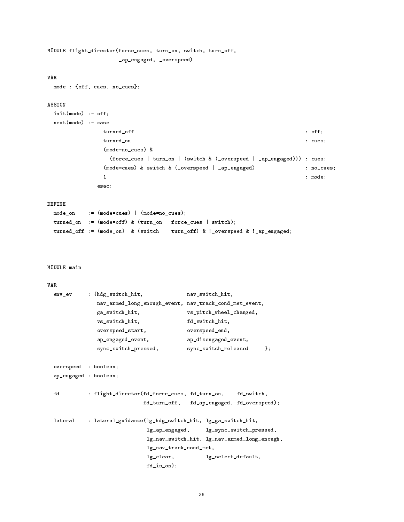```
MODULE flight_director(force_cues, turn_on, switch, turn_off,
                    _ap_engaged, _overspeed)
 mode : {off, cues, no_cues};
ASSIGN
 init(mode) := off;next(mode) := case
                turned on the contract of \mathcal{O}(\mathcal{O}) . The contract of \mathcal{O}(\mathcal{O}) is a contract of \mathcal{O}(\mathcal{O})turned_on : cues;
                (mode=no_cues) &
                  (force_cues | turn_on | (switch & (_overspeed | _ap_engaged))) : cues;
                (mode=cues) & switch & (_overspeed | _ap_engaged) : no_cues;
                1 : model et al. 1 : model et al. 1 : model et al. 1 : model et al. 1 : model et al. 1 : model et al. 1 : model
              esac;
DEFINE
 mode_on := (mode=cues) | (mode=no_cues);
 turned_on := (mode=off) & (turn_on | force_cues | switch);
 turned_off := (mode_on) & (switch | turn_off) & !_overspeed & !_ap_engaged;
MODULE main
 env_ev : {hdg_switch_hit, nav_switch_hit,
              nav_armed_long_enough_event, nav_track_cond_met_event,
              ga_switch_hit, vs_pitch_wheel_changed,
              vs_switch_hit, fd_switch_hit,
              overspeed_start, overspeed_end,
              ap_engaged_event, ap_disengaged_event,
              sync_switch_pressed, sync_switch_released };
 overspeed : boolean;
 ap_engaged : boolean;
 fd : flight_director(fd_force_cues, fd_turn_on, fd_switch,
                           fd_turn_off, fd_ap_engaged, fd_overspeed);
 lateral : lateral_guidance(lg_hdg_switch_hit, lg_ga_switch_hit,
                            lg_ap_engaged, lg_sync_switch_pressed,
                            lg_nav_switch_hit, lg_nav_armed_long_enough,
                            lg_nav_track_cond_met,
                            lg_clear, lg_select_default,
                            fd_is_on);
```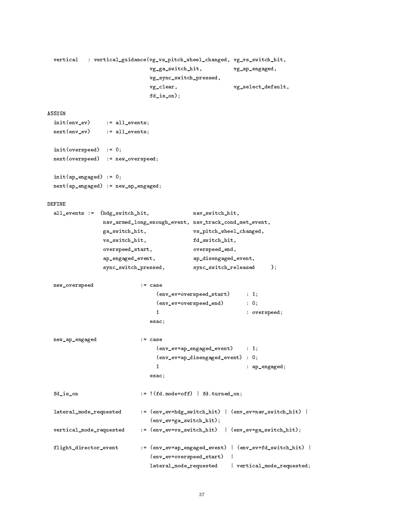```
vertical
          : vertical_guidance(vg_vs_pitch_wheel_changed, vg_vs_switch_hit,
                             vg_ga_switch_hit, vg_ap_engaged,
                             vg_sync_switch_pressed,
                             vg_clear, vg_select_default,
                             fd_is_on);
ASSIGN
 init(env_ev) := all_events;
 next(env_ev) := all_events;
 init(overspeed) := 0;
 next(overspeed) := new_overspeed;
 init(ap_engaged) := 0;
 next(ap_engaged) := new_ap_engaged;
DEFINE
 all_events := {hdg_switch_hit, nav_switch_hit,
                nav_armed_long_enough_event, nav_track_cond_met_event,
                ga_switch_hit, vs_pitch_wheel_changed,
                vs_switch_hit, fd_switch_hit,
                overspeed_start, overspeed_end,
                ap_engaged_event, ap_disengaged_event,
                sync_switch_pressed, sync_switch_released };
 new_overspeed := case
                               (env_ev=overspeed_start) : 1;
                               (env_ev=overspeed_end) : 0;
                               1 : overspeed;
                             esac;
 new_ap_engaged := case
                               (env_ev=ap_engaged_event) : 1;
                               (env_ev=ap_disengaged_event) : 0;
                               \mathbf{1}1 : ap_engaged;
                             esac;
 fd\_is\_on := !(fd.\text{mode}=off) | fd.\text{turned\_on};lateral_mode_requested := (env_ev=hdg_switch_hit) | (env_ev=nav_switch_hit) |
                             (env_ev=ga_switch_hit);
 vertical_mode_requested := (env_ev=vs_switch_hit) | (env_ev=ga_switch_hit);
 flight_director_event := (env_ev=ap_engaged_event) | (env_ev=fd_switch_hit) |
                             (env_ev=overspeed_start) |
                                                   \blacksquarelateral_mode_requested | vertical_mode_requested;
```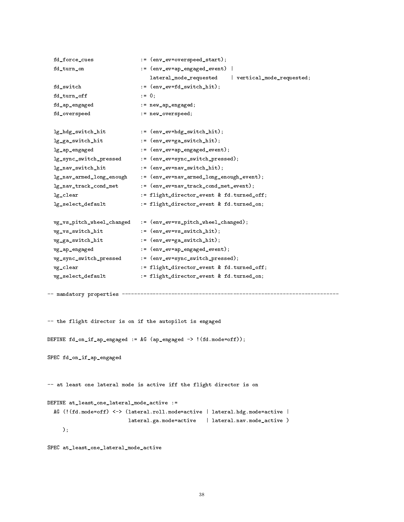```
fd_force_cues := (env_ev=overspeed_start);
 fd_turn_on := (env_ev=ap_engaged_event) |
                            lateral_mode_requested | vertical_mode_requested;
 fd_switch := (env_ev=fd_switch_hit);
 fd\_turn\_off := 0;
 fd_ap_engaged := new_ap_engaged;
 fd_overspeed := new_overspeed;
 lg_hdg_switch_hit := (env_ev=hdg_switch_hit);
 lg_ga_switch_hit := (env_ev=ga_switch_hit);
 lg_ap_engaged := (env_ev=ap_engaged_event);
 lg_sync_switch_pressed := (env_ev=sync_switch_pressed);
 lg_nav_switch_hit := (env_ev=nav_switch_hit);
 lg_nav_armed_long_enough := (env_ev=nav_armed_long_enough_event);
 lg_nav_track_cond_met := (env_ev=nav_track_cond_met_event);
 lg_clear := flight_director_event & fd.turned_off;
 lg_select_default := flight_director_event & fd.turned_on;
 vg_vs_pitch_wheel_changed := (env_ev=vs_pitch_wheel_changed);
 vg_vs_switch_hit := (env_ev=vs_switch_hit);
 vg_ga_switch_hit := (env_ev=ga_switch_hit);
 vg_ap_engaged := (env_ev=ap_engaged_event);
 vg_sync_switch_pressed := (env_ev=sync_switch_pressed);
 vg_clear := flight_director_event & fd.turned_off;
 vg_select_default := flight_director_event & fd.turned_on;
-- mandatory properties ----------------------------------------------------------------------
-- the flight director is on if the autopilot is engaged
DEFINE fd_on_if_ap_engaged := AG (ap_engaged -> !(fd.mode=off));
SPEC fd_on_if_ap_engaged
-- at least one lateral mode is active iff the flight director is on
DEFINE at_least_one_lateral_mode_active :=
 AG (!(fd.mode=off) <-> (lateral.roll.mode=active | lateral.hdg.mode=active |
                      lateral.ga.mode=active | lateral.nav.mode_active )
    \cdot);
```

```
SPEC at_least_one_lateral_mode_active
```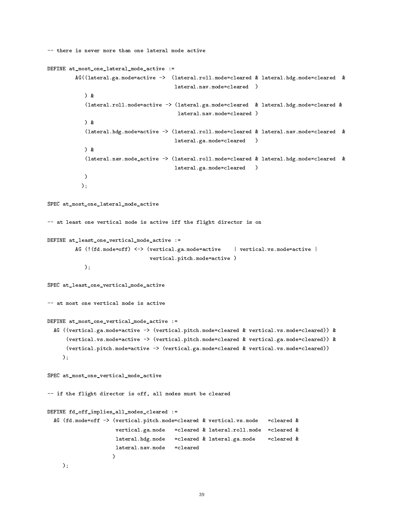```
-- there is never more than one lateral mode active
DEFINE at_most_one_lateral_mode_active :=
           AG((lateral.ga.mode=active -> (lateral.roll.mode=cleared & lateral.hdg.mode=cleared &
                                                   lateral.nav.mode=cleared )
               ) &
               (lateral.roll.mode=active -> (lateral.ga.mode=cleared & lateral.hdg.mode=cleared &
                                                    lateral.nav.mode=cleared )
               \overline{\phantom{a}} \overline{\phantom{a}} \overline{\phantom{a}} \overline{\phantom{a}} \overline{\phantom{a}} \overline{\phantom{a}} \overline{\phantom{a}} \overline{\phantom{a}} \overline{\phantom{a}} \overline{\phantom{a}} \overline{\phantom{a}} \overline{\phantom{a}} \overline{\phantom{a}} \overline{\phantom{a}} \overline{\phantom{a}} \overline{\phantom{a}} \overline{\phantom{a}} \overline{\phantom{a}} \overline{\(lateral.hdg.mode=active -> (lateral.roll.mode=cleared & lateral.nav.mode=cleared &
                                                   lateral.ga.mode=cleared )
               ) &
               (lateral.nav.mode_active -> (lateral.roll.mode=cleared & lateral.hdg.mode=cleared &
                                                   lateral.ga.mode=cleared )
              )
             );
SPEC at_most_one_lateral_mode_active
-- at least one vertical mode is active iff the flight director is on
DEFINE at_least_one_vertical_mode_active :=
           AG (!(fd.mode=off) <-> (vertical.ga.mode=active | vertical.vs.mode=active |
                                         vertical.pitch.mode=active )
              );
SPEC at_least_one_vertical_mode_active
-- at most one vertical mode is active
DEFINE at_most_one_vertical_mode_active :=
  AG ((vertical.ga.mode=active -> (vertical.pitch.mode=cleared & vertical.vs.mode=cleared)) &
        (vertical.vs.mode=active -> (vertical.pitch.mode=cleared & vertical.ga.mode=cleared)) &
        (vertical.pitch.mode=active -> (vertical.ga.mode=cleared & vertical.vs.mode=cleared))
      );
SPEC at_most_one_vertical_mode_active
-- if the flight director is off, all modes must be cleared
DEFINE fd_off_implies_all_modes_cleared :=
  AG (fd.mode=off -> (vertical.pitch.mode=cleared & vertical.vs.mode =cleared &
                           vertical.ga.mode =cleared & lateral.roll.mode =cleared &
                           lateral.hdg.mode = cleared & lateral.ga.mode = cleared &
                           lateral.nav.mode =cleared
                           )
      );
```

```
39
```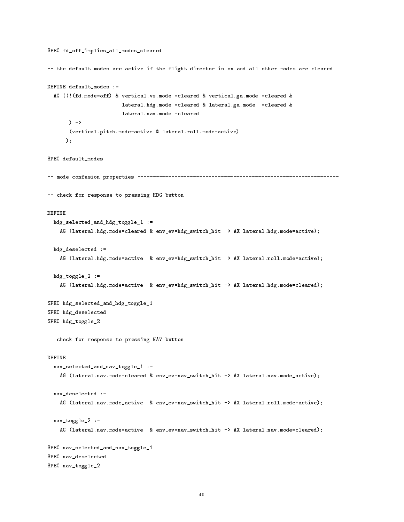```
SPEC fd_off_implies_all_modes_cleared
-- the default modes are active if the flight director is on and all other modes are cleared
DEFINE default_modes :=
  AG ((!(fd.mode=off) & vertical.vs.mode =cleared & vertical.ga.mode =cleared &
                         lateral.hdg.mode =cleared & lateral.ga.mode =cleared &
                         lateral.nav.mode =cleared
       \sim(vertical.pitch.mode=active & lateral.roll.mode=active)
      );
SPEC default modes
SPEC default and the control of the control of the control of the control of the control of the control of the
-- mode confusion properties -----------------------------------------------------------------
-- check for response to pressing HDG button
DEFINE
  hdg_selected_and_hdg_toggle_1 :=
    AG (lateral.hdg.mode=cleared & env_ev=hdg_switch_hit -> AX lateral.hdg.mode=active);
 hdg_deselected :=
    AG (lateral.hdg.mode=active & env_ev=hdg_switch_hit -> AX lateral.roll.mode=active);
 hdg_toggle_2 :=AG (lateral.hdg.mode=active & env_ev=hdg_switch_hit -> AX lateral.hdg.mode=cleared);
SPEC hdg_selected_and_hdg_toggle_1
SPEC hdg_deselected
SPEC hdg_toggle_2
-- check for response to pressing NAV button
  nav_selected_and_nav_toggle_1 :=
    AG (lateral.nav.mode=cleared & env_ev=nav_switch_hit -> AX lateral.nav.mode_active);
  nav_deselected :=
    AG (lateral.nav.mode_active & env_ev=nav_switch_hit -> AX lateral.roll.mode=active);
  nav_toggle_2 :=
    AG (lateral.nav.mode=active & env_ev=nav_switch_hit -> AX lateral.nav.mode=cleared);
SPEC nav_selected_and_nav_toggle_1
SPEC nav_deselected
SPEC nav_toggle_2
```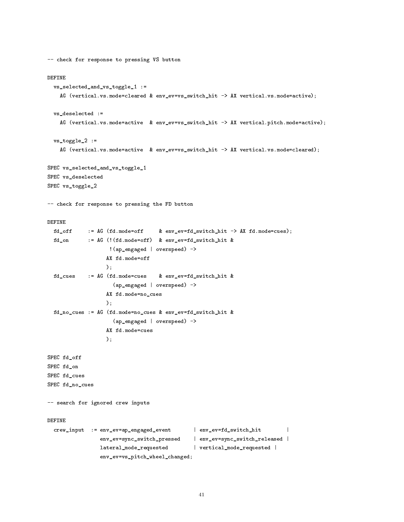```
-- check for response to pressing VS button
 vs_selected_and_vs_toggle_1 :=
    AG (vertical.vs.mode=cleared & env_ev=vs_switch_hit -> AX vertical.vs.mode=active);
 vs_deselected :=
    AG (vertical.vs.mode=active & env_ev=vs_switch_hit -> AX vertical.pitch.mode=active);
 vs_toggle_2 :=
    AG (vertical.vs.mode=active & env_ev=vs_switch_hit -> AX vertical.vs.mode=cleared);
SPEC vs_selected_and_vs_toggle_1
SPEC vs_deselected
SPEC vs_toggle_2
-- check for response to pressing the FD button
 fd_off := AG (fd.mode=off & env_ev=fd_switch_hit -> AX fd.mode=cues);
 fd_on := AG (!(fd.mode=off) & env_ev=fd_switch_hit &
                    !(ap_engaged | overspeed) ->
                   AX fd.mode=off
                   \lambda:
                   );
 fd_cues := AG (fd.mode=cues & env_ev=fd_switch_hit &
                     (ap_engaged | overspeed) ->
                   AX fd.mode=no_cues
                   \mathcal{C}:
                   );
 fd_no_cues := AG (fd.mode=no_cues & env_ev=fd_switch_hit &
                     (ap_engaged | overspeed) ->
                   AX fd.mode=cues
                   \mathcal{E}:
                   );
SPEC fd_off
SPEC fd_on
SPEC fd_cues
SPEC fd_no_cues
-- search for ignored crew inputs
DEFINE
  crew_input := env_ev=ap_engaged_event | env_ev=fd_switch_hit
                                                                             \overline{\phantom{a}}env_ev=sync_switch_pressed | env_ev=sync_switch_released |
                 lateral_mode_requested | vertical_mode_requested |
                 env_ev=vs_pitch_wheel_changed;
```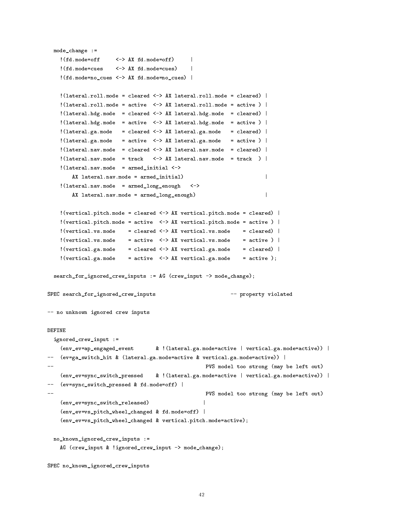```
mode_change :=
    !(fd.mode=off
                      \left\langle -\right\rangle AX fd.mode=off)
                                                  \mathbf{I}. The contraction of the operator \mathcal{A} and \mathcal{A} are a set of \mathcal{A} and \mathcal{A} are a set of \mathcal{A}!(fd.mode=cues <-> AX fd.mode=cues) |
                                                  \mathbf{I}!(fd.mode=no_cues <-> AX fd.mode=no_cues) |
    !(lateral.roll.mode = cleared <-> AX lateral.roll.mode = cleared) |
    ! (lateral.roll.mode = active \langle -\rangle AX lateral.roll.mode = active ) |
    !(lateral.hdg.mode = cleared <-> AX lateral.hdg.mode = cleared) |
    !(lateral.hdg.mode = active \langle - \rangle AX lateral.hdg.mode = active ) |
    ! (lateral.ga.mode = cleared \langle - \rangle AX lateral.ga.mode = cleared) |
    ! (lateral.ga.mode = active \langle - \rangle AX lateral.ga.mode = active ) |
    ! (lateral.nav.mode = cleared \langle - \rangle AX lateral.nav.mode = cleared) |
    ! (lateral.nav.mode = track <-> AX lateral.nav.mode = track ) |
    !(lateral.nav.mode = armed_initial <->
         AX lateral.nav.mode = armed_initial) |
                                                                             \mathbf{I}!(lateral.nav.mode = armed_long_enough <->
        AX lateral.nav.mode = armed_long_enough)
                                                                            \overline{\phantom{a}}!(vertical.pitch.mode = cleared <-> AX vertical.pitch.mode = cleared) |
    !(vertical.pitch.mode = active \langle - \rangle AX vertical.pitch.mode = active ) |
    ! (vertical.vs.mode = cleared \leq > AX vertical.vs.mode = cleared) |
    ! (vertical.vs.mode = active \langle - \rangle AX vertical.vs.mode = active ) |
    ! (vertical.ga.mode = cleared \leftarrow > AX vertical.ga.mode = cleared) |
    !(vertical.ga.mode = active <-> AX vertical.ga.mode = active);search_for_ignored_crew_inputs := AG (crew_input -> mode_change);
SPEC search_for_ignored_crew_inputs -- property violated
-- no unknown ignored crew inputs
DEFINE
  ignored_crew_input :=
    (env_ev=ap_engaged_event & !(lateral.ga.mode=active | vertical.ga.mode=active)) |
-- (ev=ga_switch_hit & (lateral.ga.mode=active & vertical.ga.mode=active)) |
                                                       PVS model too strong (may be left out)
    (env_ev=sync_switch_pressed & !(lateral.ga.mode=active | vertical.ga.mode=active)) |
-- (ev=sync_switch_pressed & fd.mode=off) |
                                                       PVS model too strong (may be left out)
    (env_ev=sync_switch_released) |
    (env_ev=vs_pitch_wheel_changed & fd.mode=off) |
    (env_ev=vs_pitch_wheel_changed & vertical.pitch.mode=active);
  no_known_ignored_crew_inputs :=
    AG (crew_input & !ignored_crew_input -> mode_change);
SPEC no_known_ignored_crew_inputs
```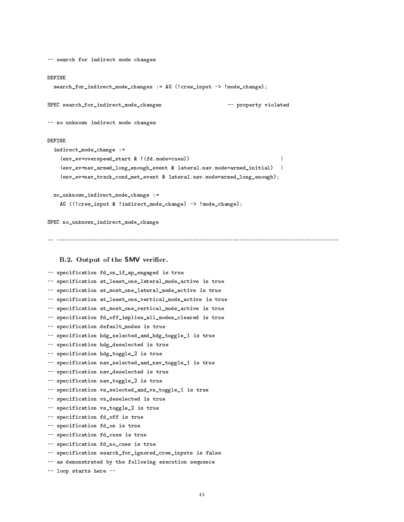```
-- search for indirect mode changes
 search_for_indirect_mode_changes := AG (!crew_input -> !mode_change);
SPEC search_for_indirect_mode_changes -- property violated
-- no unknown indirect mode changes
DEFINE
 indirect_mode_change :=
   (env_ev=overspeed_start & !(fd.mode=cues)) |
   (env_ev=nav_armed_long_enough_event & lateral.nav.mode=armed_initial) |
   (env_ev=nav_track_cond_met_event & lateral.nav.mode=armed_long_enough);
 no_unknown_indirect_mode_change :=
   AG ((!crew_input & !indirect_mode_change) -> !mode_change);
SPEC no_unknown_indirect_mode_change
```
-- -------------------------------------------------------------------------------------------

# B.2. Output of the SMV verifier.

|                            |                        | -- specification fd_on_if_ap_engaged is true              |
|----------------------------|------------------------|-----------------------------------------------------------|
| $\mathcal{L}(\mathcal{L})$ |                        | specification at_least_one_lateral_mode_active is true    |
| $--$                       |                        | specification at_most_one_lateral_mode_active is true     |
| $\qquad \qquad - \qquad$   |                        | specification at_least_one_vertical_mode_active is true   |
|                            |                        | -- specification at_most_one_vertical_mode_active is true |
|                            |                        | -- specification fd_off_implies_all_modes_cleared is true |
|                            |                        | -- specification default_modes is true                    |
|                            |                        | -- specification hdg_selected_and_hdg_toggle_1 is true    |
|                            |                        | -- specification hdg_deselected is true                   |
|                            |                        | -- specification hdg_toggle_2 is true                     |
|                            |                        | -- specification nav_selected_and_nav_toggle_1 is true    |
|                            |                        | -- specification nav_deselected is true                   |
|                            |                        | -- specification nav_toggle_2 is true                     |
|                            |                        | -- specification vs_selected_and_vs_toggle_1 is true      |
|                            |                        | -- specification vs_deselected is true                    |
|                            |                        | -- specification vs_toggle_2 is true                      |
|                            |                        | -- specification fd_off is true                           |
| $--$                       |                        | specification fd_on is true                               |
|                            |                        | -- specification fd_cues is true                          |
|                            |                        | -- specification fd_no_cues is true                       |
|                            |                        | -- specification search_for_ignored_crew_inputs is false  |
|                            |                        | -- as demonstrated by the following execution sequence    |
|                            | -- loop starts here -- |                                                           |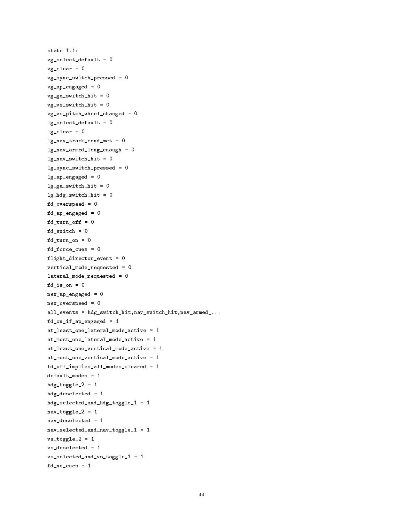```
state 1.1:
vg_select_default = 0
vg_{\text{c}}lear = 0
vg_sync_switch_pressed = 0
vg_ap_engaged = 0
vg_ga_switch_hit = 0
vg_vs_switch_hit = 0
vg_vs_pitch_wheel_changed = 0
lg\_select\_default = 0lg\_clear = 0lg_nav_track_cond_met = 0
lg_nav_armed_long_enough = 0
lg_nav_switch_hit = 0
lg_sync_switch_pressed = 0
lg_ap_engaged = 0
lg_ga_switch_hit = 0
lg_hdg_switch_hit = 0
fd_overspeed = 0
fd_ap_engaged = 0
fd\_turn\_off = 0fd_switch = 0
fd_turn_on = 0fd_force_cues = 0
flight_director_event = 0
vertical_mode_requested = 0
lateral_mode_requested = 0
fd_is\_on = 0new_ap_engaged = 0
new_overspeed = 0
all_events = hdg_switch_hit,nav_switch_hit,nav_armed_...
fd_on_if_ap_engaged = 1
at_least_one_lateral_mode_active = 1
at_most_one_lateral_mode_active = 1
at_least_one_vertical_mode_active = 1
at_most_one_vertical_mode_active = 1
fd_off_implies_all_modes_cleared = 1
default_modes = 1
hdg\_toggle_2 = 1hdg_deselected = 1
hdg_selected_and_hdg_toggle_1 = 1
nav\_toggle_2 = 1nav_deselected = 1
nav_selected_and_nav_toggle_1 = 1
vs\_toggle_2 = 1vs_deselected = 1
vs_selected_and_vs_toggle_1 = 1
fd-no_cues = 1
```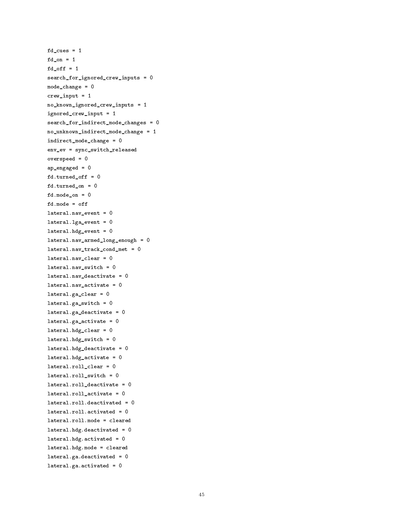```
fd_{\text{cues}} = 1fd on = 1for f and f and f and f and f and f and f and f and f and f and f and f and f and f and f and f and f and f and f and f and f and f and f and f and f and f and f and fd_off = 1search_for_ignored_crew_inputs = 0
mode_change = 0
crew_input = 1
no_known_ignored_crew_inputs = 1
ignored_crew_input = 1
search_for_indirect_mode_changes = 0
no_unknown_indirect_mode_change = 1
indirect_mode_change = 0
env_ev = sync_switch_released
overspeed = 0
ap_engaged = 0
fd.turned_off = 0
fd.turned_on = 0
fd.mode_on = 0fd.mode = off
lateral.nav_event = 0
lateral.lga_event = 0
lateral.hdg_events = 0lateral.nav_armed_long_enough = 0
lateral.nav_track_cond_met = 0
lateral.nav_clear = 0
lateral.nav_switch = 0
lateral.nav_deactivate = 0
lateral.nav_activate = 0
lateral.ga_clear = 0
lateral.ga_switch = 0
lateral.ga_deactivate = 0
lateral.ga_activate = 0lateral.hdg_clear = 0
lateral.hdg\_switch = 0lateral.hdg_deactivate = 0
lateral.hdg_activate = 0lateral.roll_clear = 0
lateral.roll_switch = 0
lateral.roll_deactivate = 0
lateral.roll_activate = 0
lateral.roll.deactivated = 0
lateral.roll.lateral.roll.mode = cleared
lateral.hdg.deactivated = 0lateral.hdg.activated = 0
lateral.hdg.mode = cleared
lateral.ga.deactivated = 0
lateral.ga.activated = 0
```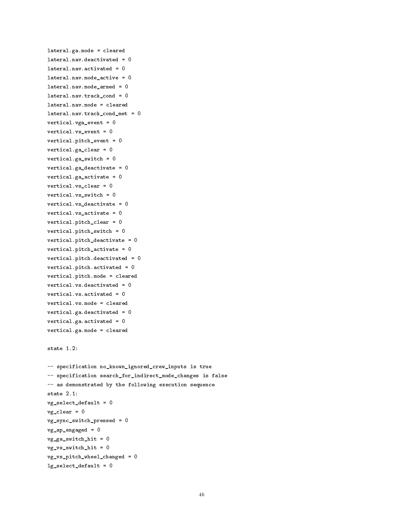```
lateral.ga.mode = cleared
lateral.nav.deactivated = 0lateral.nav.activated = 0lateral.nav.mode_active = 0
lateral.nav.mode_armed = 0
lateral.nav.track_cond = 0
lateral.nav.mode = cleared
lateral.nav.track_cond_met = 0
vertical.vga_event = 0
vertical.vs_event = 0
vertical.pitch_event = 0
vertical.ga_clear = 0
vertical.ga_switch = 0
vertical.ga\_deactive = 0vertical.ga_activate = 0
vertical.vs_clear = 0
vertical.vs_switch = 0
vertical.vs_deactivate = 0
vertical.vs_activate = 0
vertical.pitch_clear = 0
vertical.pitch_switch = 0
vertical.pitch_deactivate = 0
vertical.pitch_activate = 0
vertical.pitch.deactivated = 0
vertical.pitch.activated = 0
vertical.pitch.mode = cleared
vertical.vs.deactivated = 0
vertical.vs.activated = 0
vertical.vs.mode = cleared
vertical.ga.deactivated = 0
vertical.ga.activated = 0
vertical.ga.mode = cleared
state 1.2:
-- specification no_known_ignored_crew_inputs is true
-- specification search_for_indirect_mode_changes is false
-- as demonstrated by the following execution sequence
vg_select_default = 0
vg_{\text{c}}lear = 0
vg_sync_switch_pressed = 0
vg_ap_engaged = 0
vg_ga_switch_hit = 0
vg_vs_switch_hit = 0
vg_vs_pitch_wheel_changed = 0
lg\_select\_default = 0
```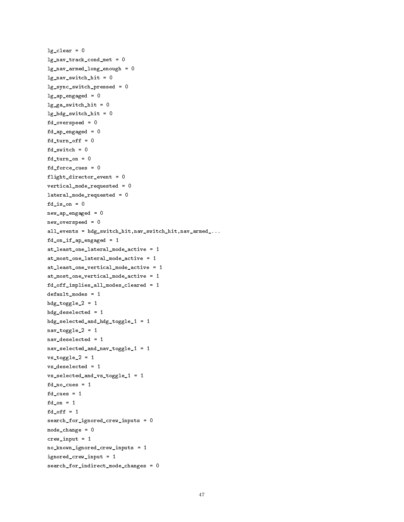```
lg\_clear = 0lg_nav_track_cond_met = 0
lg_nav_armed_long_enough = 0
lg_nav_switch_hit = 0
lg_sync_switch_pressed = 0
lg_a p_{engaged} = 0lg_ga_s witch_hit = 0
lg_hdg_switch_hit = 0
fd_overspeed = 0
fd_ap_engaged = 0
fd\_turn\_off = 0fd_switch = 0
fd_turn_on = 0fd_force_cues = 0
flight_director_event = 0
vertical_mode_requested = 0
lateral_mode_requested = 0
fd_is\_on = 0new_ap_engaged = 0
new_overspeed = 0
all_events = hdg_switch_hit,nav_switch_hit,nav_armed_...
fd_{on\_if\_ap\_engaged} = 1at_least_one_lateral_mode_active = 1
at_most_one_lateral_mode_active = 1
at_least_one_vertical_mode_active = 1
at_most_one_vertical_mode_active = 1
fd_off_implies_all_modes_cleared = 1
default_modes = 1
hdg\_togle_2 = 1hdg_deselected = 1
hdg_selected_and_hdg_toggle_1 = 1
nav\_toggle_2 = 1nav_deselected = 1
nav_selected_and_nav_toggle_1 = 1
vs\_toggle_2 = 1vs_deselected = 1
vs_selected_and_vs_toggle_1 = 1
fd-no_cues = 1for 1990 \sim 1990 \sim 1990 \sim 1990 \sim 1990 \sim 1990 \sim 1990 \sim 1990 \simfd\_on = 1fd_off = 1search_for_ignored_crew_inputs = 0
mode_change = 0
crew\_input = 1no_known_ignored_crew_inputs = 1
ignored_crew_input = 1
search_for_indirect_mode_changes = 0
```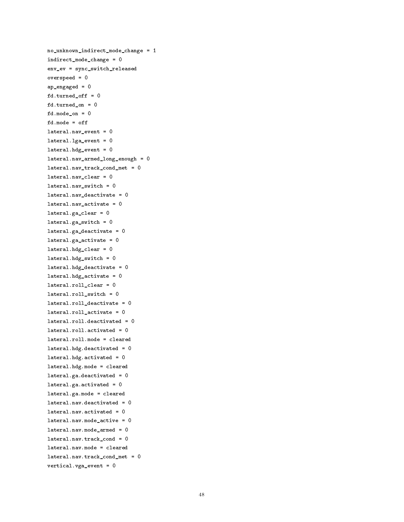```
no_unknown_indirect_mode_change = 1
indirect_mode_change = 0
env_ev = sync_switch_released
overspeed = 0
ap_engaged = 0
fd.turned_off = 0
fd.turned_ on = 0fd.mode_on = 0
fd.mode = off
lateral.nav_event = 0
lateral.lga_event = 0
lateral.hdg_events = 0lateral.nav_armed_long_enough = 0
lateral.nav_track_cond_met = 0
lateral.nav_clear = 0
lateral.nav_switch = 0
lateral.nav\_deactive = 0lateral.nav_activate = 0lateral.ga_clear = 0
lateral.ga_swidth = 0lateral.ga\_deactive = 0lateral.ga_activate = 0
lateral.hdg_clear = 0
lateral.hdg\_switch = 0lateral.hdg\_deactive = 0lateral.hdg_activate = 0lateral.roll_clear = 0
lateral.roll_switch = 0
lateral.roll_deactivate = 0
lateral.roll_activate = 0
lateral.roll.deactivated = 0
lateral.roll.activated = 0
lateral.roll.mode = cleared
lateral.hdg.deactivated = 0
lateral.hdg.activated = 0
lateral.hdg.mode = cleared
lateral.ga.deactivated = 0lateral.ga.activated = 0
lateral.ga.mode = cleared
lateral.nav.deactivated = 0lateral.nav.activated = 0lateral.nav.mode_active = 0
lateral.nav.mode_armed = 0
lateral.nav.track_cond = 0
lateral.nav.mode = cleared
lateral.nav.track_cond_met = 0
vertical.vga_event = 0
```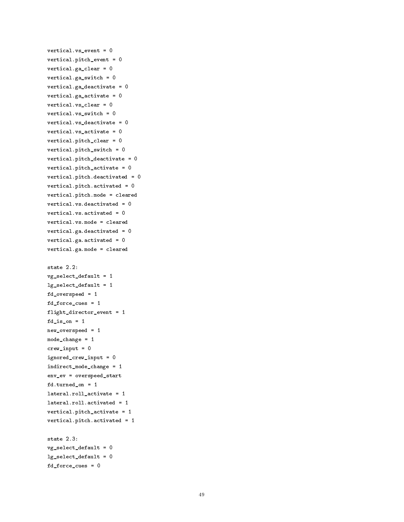```
vertical.vs_event = 0
vertical.pitch_event = 0
vertical.ga_clear = 0
vertical.ga_switch = 0
vertical.ga_deactivate = 0vertical.ga_activate = 0vertical.vs_clear = 0
vertical.vs_switch = 0
vertical.vs_deactivate = 0
vertical.vs_activate = 0
vertical.pitch_clear = 0
vertical.pitch_switch = 0
vertical.pitch_deactivate = 0
vertical.pitch_activate = 0
vertical.pitch.deactivated = 0
vertical.pitch.activated = 0
vertical.pitch.mode = cleared
vertical.vs.deactivated = 0
vertical.vs.activated = 0
vertical.vs.mode = cleared
vertical.ga.deactivated = 0
vertical.ga.activated = 0vertical.ga.mode = cleared
state 2.2:
vg\_select\_default = 1lg_select_default = 1
fd_overspeed = 1
fd_force_cues = 1
flight_director_event = 1
fd_is\_on = 1new_overspeed = 1
mode_change = 1
crew\_input = 0ignored_crew_input = 0
indirect_mode_change = 1
env_ev = overspeed_start
fd.turned_on = 1
lateral.roll_activate = 1
lateral.roll.activated = 1
vertical.pitch_activate = 1
vertical.pitch.activated = 1
state 2.3:
vg_select_default = 0
lg_select_default = 0
fd_force_cues = 0
```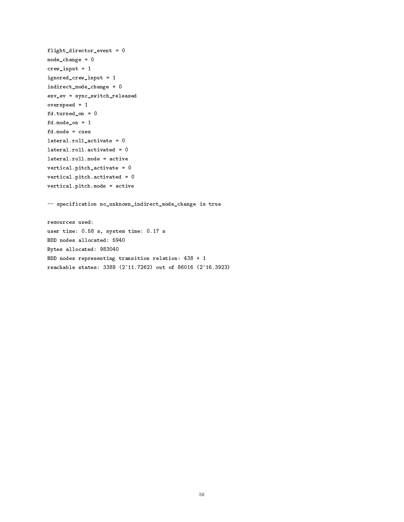```
flight_director_event = 0
mode_change = 0
crew\_input = 1ignored_crew_input = 1
indirect_mode_change = 0
env_ev = sync_switch_released
overspeed = 1
fd.turned_on = 0
fd.mode_on = 1
fd.mode = cues
lateral.roll_activate = 0
lateral.roll.activated = 0
lateral.roll.mode = active
vertical.pitch_activate = 0
vertical.pitch.activated = 0
vertical.pitch.mode = active
-- specification no_unknown_indirect_mode_change is true
resources used:
user time: 0.58 s, system time: 0.17 s
BDD nodes allocated: 5940
Bytes allocated: 983040
BDD nodes representing transition relation: 438 + 1
reachable states: 3388 (2^11.7262) out of 86016 (2^16.3923)
```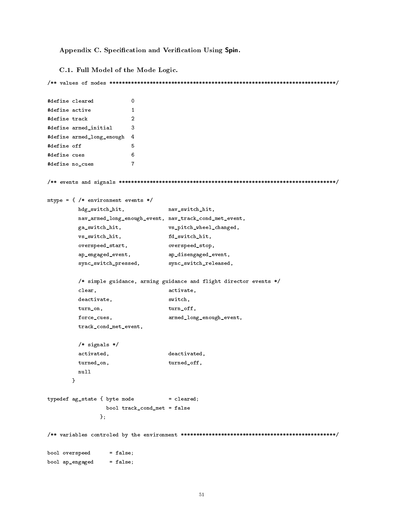Appendix C. Specification and Verification Using Spin.

C.1. Full Model of the Mode Logic.

```
/** values of modes *************************************************************************/
#define cleared 0
#define active 1
#define track
                      \mathcal{L}#define armed_initial 3
                      \overline{3}#define armed_long_enough 4
#define off 5
#define cues 6
                      6
#define no_cues 7
/** events and signals **********************************************************************/
mtype = { /* environment events */
        hdg_switch_hit, nav_switch_hit,
        nav_armed_long_enough_event, nav_track_cond_met_event,
        ga_switch_hit, vs_pitch_wheel_changed,
        vs_switch_hit, fd_switch_hit,
        overspeed_start, overspeed_stop,
        ap_engaged_event, ap_disengaged_event,
        sync_switch_pressed, sync_switch_released,
        /* simple guidance, arming guidance and flight director events */
        clear, activate,
        deactivate, switch,
        turn_on, turn_off,
        force_cues, armed_long_enough_event,
        track_cond_met_event,
        /* signals */
        activated, deactivated,
        turned_on, turned_off,
        null
      }
typedef ag_state { byte mode = closed;bool track_cond_met = false
              };
/** variables controled by the environment **************************************************/
bool overspeed = false;
bool ap_engaged = false;
```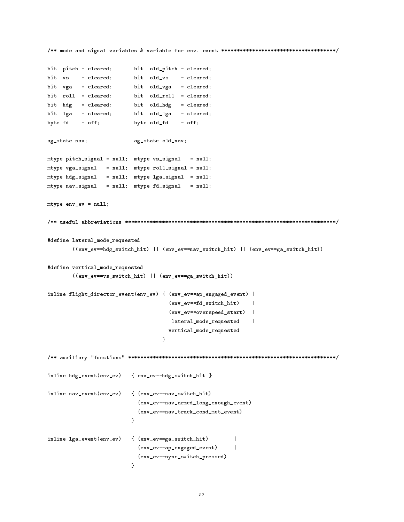```
/** mode and signal variables & variable for env. event *************************************/
bit pitch = cleared; bit old_pitch = cleared;
bit vs = cleared; bit old_vs = cleared;
bit vga = cleared; bit old_vga = cleared;
bit roll = cleared; bit old_roll = cleared;
bit hdg = cleared; bit old_hdg = cleared;
bit lga = cleared; bit old_lga = cleared;
byte fd = off; byte old\_fd = off;
ag_state nav; ag_state old_nav;
mtype pitch_signal = null; mtype vs_signal = null;
mtype vga\_signal = null; mtype vol1\_signal = null;mtype hdg_signal = null; mtype lga_signal = null;
mtype nav_signal = null; mtype fd_signal = null;
mtype env_ev = null;
/** useful abbreviations ********************************************************************/
#define lateral_mode_requested
       ((env_ev==hdg_switch_hit) || (env_ev==nav_switch_hit) || (env_ev==ga_switch_hit))
#define vertical_mode_requested
       ((env_ev==vs_switch_hit) || (env_ev==ga_switch_hit))
inline flight_director_event(env_ev) { (env_ev==ap_engaged_event) ||
                                     (env_ev==fd_switch_hit) ||
                                                               \vert \vert(env_ev==overspeed_start) ||
                                      lateral_mode_requested ||
                                     vertical_mode_requested
                                   \mathcal{F}}
/** auxiliary "functions" *******************************************************************/
inline hdg_event(env_ev) { env_ev==hdg_switch_hit }
inline nav_event(env_ev) { (env_ev==nav_switch_hit) ||
                                                                \mathbf{1}(env_ev==nav_armed_long_enough_event) ||
                            (env_ev==nav_track_cond_met_event)
                         }
inline lga_event(env_ev) { (env_ev==ga_switch_hit) ||
                           (env_ev==ap_engaged_event) ||
                            (env_ev==sync_switch_pressed)
                         \mathcal{F}
```
}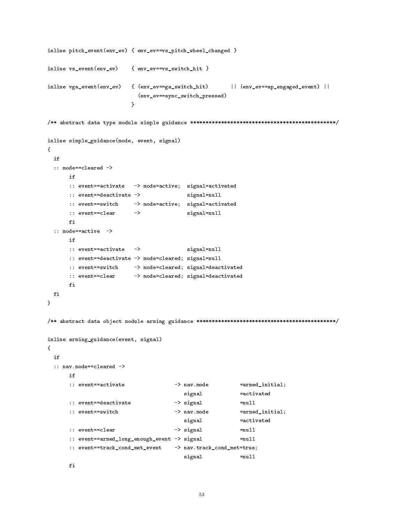```
inline pitch_event(env_ev) { env_ev==vs_pitch_wheel_changed }
inline vs_event(env_ev) { env_ev==vs_switch_hit }
inline vga_event(env_ev) { (env_ev==ga_switch_hit) || (env_ev==ap_engaged_event) ||
                              (env_ev==sync_switch_pressed)
                            \mathcal{F}}
/** abstract data type module simple guidance ***********************************************/
inline simple_guidance(mode, event, signal)
{
 if
 :: mode==cleared ->
       if
       :: event==activate -> mode=active; signal=activated
       :: event==deactivate -> signal=null
       :: event==switch -> mode=active; signal=activated
       :: event==clear -> signal=null
 :: mode==active ->
       if
       :: event==activate -> signal=null
       :: event==deactivate -> mode=cleared; signal=null
       :: event==switch -> mode=cleared; signal=deactivated
       :: event==clear -> mode=cleared; signal=deactivated
 fi
\mathcal{F}}
/** abstract data object module arming guidance *********************************************/
inline arming_guidance(event, signal)
{\color{red} \sim} . The contract of the contract of the contract of the contract of the contract of the contract of the contract of the contract of the contract of the contract of the contract of the contract of the contract of 
 if:: nav.mode==cleared ->
       if:: event==activate \rightarrow nav.mode =armed_initial;
                                             signal =activated
       :: event==deactivate \rightarrow signal =null
       : event==switch
       :: event=switch -> nav.mode == nav.mode == nav.mode == nav.mode == nav.mode == n
                                              signal =activated
       :: event==clear -> signal =null
       :: event==armed_long_enough_event -> signal =null
       :: event==track_cond_met_event -> nav.track_cond_met=true;
                                              signal =null
```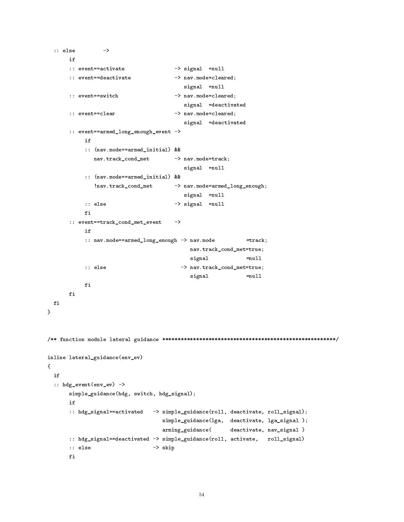```
:: else ->
      if
      :: event==activate -> signal =null
      :: event==deactivate -> nav.mode=cleared;
                                      signal =null
      :: event==switch -> nav.mode=cleared;
                                      signal =deactivated
      :: event==clear -> nav.mode=cleared;
                                      signal =deactivated
      :: event==armed_long_enough_event ->
          :: (nav.mode==armed_initial) &&
            nav.track_cond_met -> nav.mode=track;
                                      signal =null
          :: (nav.mode==armed_initial) &&
             !nav.track_cond_met -> nav.mode=armed_long_enough;
                                      signal =null
          :: else -> signal =null
          f_i:: event==track_cond_met_event ->
          if
          :: nav.mode==armed_long_enough -> nav.mode =track;
                                       nav.track_cond_met=true;
                                       signal =null
          :: else -> nav.track_cond_met=true;
                                       signal =null
          fi
      fi
 fi
}
/** function module lateral guidance ********************************************************/
inline lateral_guidance(env_ev)
{
 i f:: hdg_event(env_ev) ->
      simple_guidance(hdg, switch, hdg_signal);
      if
      :: hdg_signal==activated -> simple_guidance(roll, deactivate, roll_signal);
                                simple_guidance(lga, deactivate, lga_signal );
                               arming_guidance( deactivate, nav_signal )
      :: hdg_signal==deactivated -> simple_guidance(roll, activate, roll_signal)
      :: else -> skip
```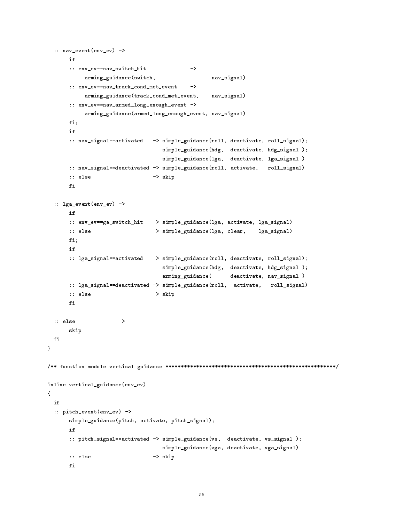```
:: nav_event(env_ev) ->
       if
       :: env_ev==nav_switch_hit
                                                 \rightarrowarming_guidance(switch, nav_signal)
       :: env_ev==nav_track_cond_met_event ->
             arming_guidance(track_cond_met_event, nav_signal)
       :: env_ev==nav_armed_long_enough_event ->
             arming_guidance(armed_long_enough_event, nav_signal)
       fi;
       if
       :: nav_signal==activated -> simple_guidance(roll, deactivate, roll_signal);
                                        simple_guidance(hdg, deactivate, hdg_signal );
                                        simple_guidance(lga, deactivate, lga_signal )
       :: nav_signal==deactivated -> simple_guidance(roll, activate, roll_signal)
       :: else -> skip
       fi
 :: lga_event(env_ev) ->
       if
       :: env_ev==ga_switch_hit -> simple_guidance(lga, activate, lga_signal)
       :: else -> simple_guidance(lga, clear, lga_signal)
       fi;
       :: lga_signal==activated -> simple_guidance(roll, deactivate, roll_signal);
                                        simple_guidance(hdg, deactivate, hdg_signal );
                                       arming_guidance( deactivate, nav_signal )
       :: lga_signal==deactivated -> simple_guidance(roll, activate, roll_signal)
       :: else -> skip
       fi
 :: else ->
       skip
 fi
}
/** function module vertical guidance *******************************************************/
inline vertical_guidance(env_ev)
{\color{blue} \bullet} . The contract of the contract of the contract of the contract of the contract of the contract of the contract of the contract of the contract of the contract of the contract of the contract of the contract of 
  if
  :: pitch_event(env_ev) ->
       simple_guidance(pitch, activate, pitch_signal);
       if
       :: pitch_signal==activated -> simple_guidance(vs, deactivate, vs_signal );
                                        simple_guidance(vga, deactivate, vga_signal)
       :: else -> skip
```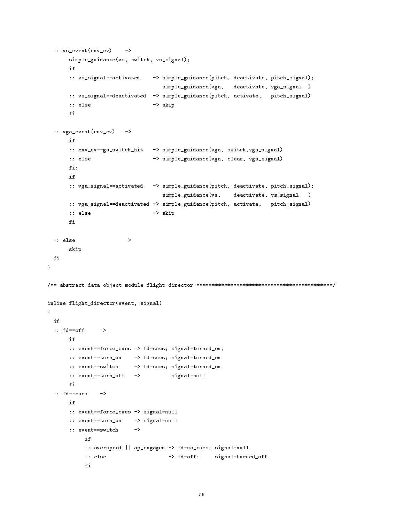```
:: v s_{event(env\_ev)}\rightarrowsimple_guidance(vs, switch, vs_signal);
       if
       :: vs_signal==activated -> simple_guidance(pitch, deactivate, pitch_signal);
                                        simple_guidance(vga, deactivate, vga_signal )
       :: vs_signal==deactivated -> simple_guidance(pitch, activate, pitch_signal)
        :: else -> skip -> skip -> skip -> skip -> skip -> skip -> skip -> skip -> skip -> skip -> skip -> skip -> skip -> skip -> skip -> skip -> skip -> skip -> skip -> skip -> skip -> skip -> skip -> skip -> skip -> skip -> ski
  :: vga_event(env_ev) ->
       :: env_ev==ga_switch_hit -> simple_guidance(vga, switch,vga_signal)
       :: else -> simple_guidance(vga, clear, vga_signal)
       fi;
       :: vga_signal==activated -> simple_guidance(pitch, deactivate, pitch_signal);
                                        simple_guidance(vs, deactivate, vs_signal )
       :: vga_signal==deactivated -> simple_guidance(pitch, activate, pitch_signal)
       :: else -> skip
  :: else ->
       skip
 fi
\mathcal{F}}
/** abstract data object module flight director ********************************************/
inline flight_director(event, signal)
{
  :: fd==off \longrightarrowif
       :: event==force_cues -> fd=cues; signal=turned_on;
       :: event==turn_on -> fd=cues; signal=turned_on
       :: event==switch -> fd=cues; signal=turned_on
       :: event==turn_off -> signal=null
       if
       :: event==force_cues -> signal=null
       :: event==turn_on -> signal=null
       :: event==switch
                              \rightarrowif
             :: overspeed || ap_engaged -> fd=no_cues; signal=null
            :: else -> fd=off; signal=turned_off
            fi
```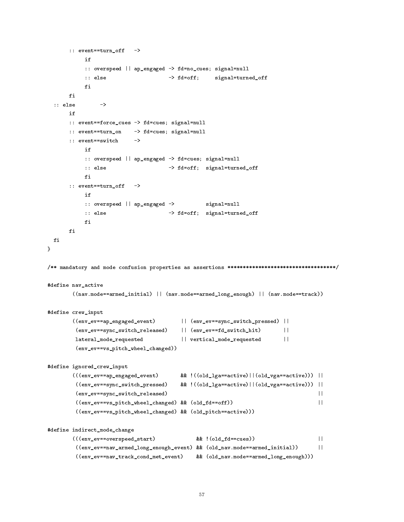```
:: event==turn_off
                         \rightarrowif
           :: overspeed || ap_engaged -> fd=no_cues; signal=null
          :: else -> fd=off; signal=turned_off
          f_1fi
 :: else
               \rightarrow:: event==force_cues -> fd=cues; signal=null
      :: event==turn_on -> fd=cues; signal=null
      :: event==switch ->
           :: overspeed || ap_engaged -> fd=cues; signal=null
          :: else -> fd=off; signal=turned_off
          fi
      :: event==turn_off ->
           if
          :: overspeed || ap_engaged -> signal=null
          :: else -> fd=off; signal=turned_off
          f_ifi
 fi
}
/** mandatory and mode confusion properties as assertions ***********************************/
#define nav_active
       ((nav.mode==armed_initial) || (nav.mode==armed_long_enough) || (nav.mode==track))
#define crew_input
       ((env_ev==ap_engaged_event) || (env_ev==sync_switch_pressed) ||
        (env_ev==sync_switch_released) || (env_ev==fd_switch_hit) ||
        lateral_mode_requested || vertical_mode_requested ||(env_ev==vs_pitch_wheel_changed))
#define ignored_crew_input
       (((env_ev==ap_engaged_event) && !((old_lga==active)||(old_vga==active))) ||
        ((env_ev==sync_switch_pressed) && !((old_lga==active)||(old_vga==active))) ||
        (env_ev==sync_switch_released) ||
        ((\verb"env=vs_pitch_wheel\_changed) % \verb" %' (old_fd==off))\overline{11}((env_ev==vs_pitch_wheel_changed) && (old_pitch==active)))
#define indirect_mode_change
       (((env_ev==overspeed_start) && !(old_fd==cues)) ||
        ((env_ev==nav_armed_long_enough_event) && (old_nav.mode==armed_initial)) ||
                                                                               \vert | |
        ((env_ev==nav_track_cond_met_event) && (old_nav.mode==armed_long_enough)))
```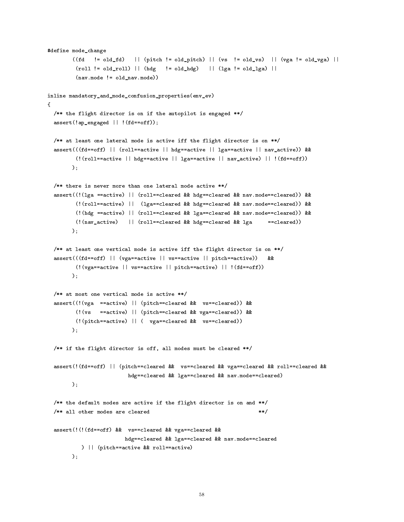```
#define mode_change
         ((fd \t!= old_fd) \t= (pitch \t!= old_pitch) \t= (vs \t!= old_vds) \t= (vs \t!= old_vvs) \t= (vs \t!= old_vsga) \t= )(roll != old-roll) || (hdg != old_hdg) || (lga != old_hg) ||(nav.mode != old_nav.mode))inline mandatory_and_mode_confusion_properties(env_ev)
{\color{blue} \bullet} . The contract of the contract of the contract of the contract of the contract of the contract of the contract of the contract of the contract of the contract of the contract of the contract of the contract of 
  /** the flight director is on if the autopilot is engaged **/
  assert(!ap_engaged || !(fd==off));
  /** at least one lateral mode is active iff the flight director is on **/
  assert(((fd==off) || (roll==active || hdg==active || lga==active || nav_active)) &&
          (!(roll==active || hdg==active || lga==active || nav_active) || !(fd==off))
        );
  /** there is never more than one lateral mode active **/
  assert((!(lga ==active) || (roll==cleared && hdg==cleared && nav.mode==cleared)) &&
          (!(roll==active) || (lga==cleared && hdg==cleared && nav.mode==cleared)) &&
          (!(hdg ==active) || (roll==cleared && lga==cleared && nav.mode==cleared)) &&
          (!(nav_active) || (roll==cleared && hdg==cleared && lga ==cleared))
         );
  /** at least one vertical mode is active iff the flight director is on **/
  assert(((fd==off) || (vga==active || vs==active || pitch==active)) &&
          (!(vga==active || vs==active || pitch==active) || !(fd==off))
         );
  /** at most one vertical mode is active **/
  assert((!(vga ==active) || (pitch==cleared && vs==cleared)) &&
          (!(vs ==active) || (pitch==cleared && vga==cleared)) &&
          (!(pitch==active) || ( vga==cleared && vs==cleared))
         );
  /** if the flight director is off, all modes must be cleared **/
  assert(!(fd==off) || (pitch==cleared && vs==cleared && vga==cleared && roll==cleared &&
                             hdg==cleared && lga==cleared && nav.mode==cleared)
        );
  /** the default modes are active if the flight director is on and **/
  /** all other modes are cleared
                                                                             **/assert(!(!(fd==off) && vs==cleared && vga==cleared &&
                            hdg==cleared && lga==cleared && nav.mode==cleared
            ) || (pitch==active && roll==active)
        );
```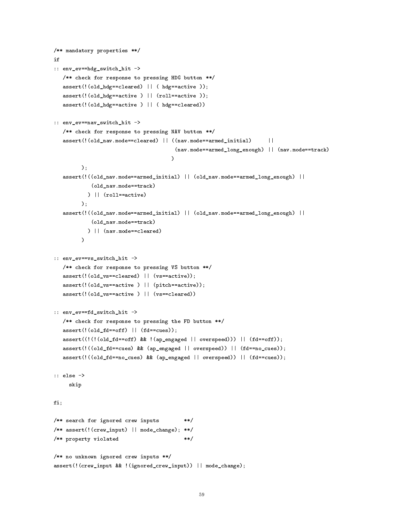```
/** mandatory properties **/
if
:: env_ev==hdg_switch_hit ->
   /** check for response to pressing HDG button **/
   assert(!(old_hdg==cleared) || ( hdg==active ));
   assert(! (old_hdg == active) || (roll == active);
   assert(!(old_hdg==active ) || ( hdg==cleared))
:: env_ev==nav_switch_hit ->
   /** check for response to pressing NAV button **/
   assert(!(old_nav.mode==cleared) || ((nav.mode==armed_initial) ||
                                       (nav.mode==armed_long_enough) || (nav.mode==track)
                                     \lambda)
         );
   assert(!((old_nav.mode==armed_initial) || (old_nav.mode==armed_long_enough) ||
            (old_nav.mode==track)
           ) || (roll==active)
         );
   assert(!((old_nav.mode==armed_initial) || (old_nav.mode==armed_long_enough) ||
            (old_nav.mode==track)
           ) || (nav.mode==cleared)
         \sqrt{ }:: env_ev==vs_switch_hit ->
   /** check for response to pressing VS button **/
   assert(!(old_vs==cleared) || (vs==active));
   assert(!(old_vs==active ) || (pitch==active));
   assert(!(old_vs==active ) || (vs==cleared))
:: env_ev==fd_switch_hit ->
   /** check for response to pressing the FD button **/
   assert((old_fd == of f) || (fd == cues));assert((!(!(old_fd==off) && !(ap_engaged || overspeed))) || (fd==off));
   assert(!((old_fd==cues) && (ap_engaged || overspeed)) || (fd==no_cues));
   assert(!((old_fd==no_cues) && (ap_engaged || overspeed)) || (fd==cues));
:: else ->
     skip
fi;
/** search for ignored crew inputs **/
/** assert(!(crew_input) || mode_change); **/
/** property violated **/
/** no unknown ignored crew inputs **/
assert(!(crew_input && !(ignored_crew_input)) || mode_change);
```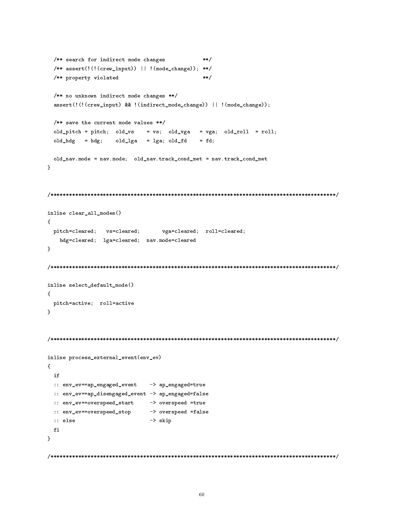```
/** search for indirect mode changes
                                              **//** assert(!(!(crew_input)) || !(mode_change)); **/
 /** property violated **/
 /** no unknown indirect mode changes **/
 assert(!(!(crew_input) && !(indirect_mode_change)) || !(mode_change));
 /** save the current mode values **/
 old\_pitch = pitch; old_vs = vs; old_vga = vga; old_rol = roll;old_hdg = hdg; old_lga = lga; old_fd = fd;
 old_nav.mode = nav.mode; old_nav.track_cond_met = nav.track_cond_met
\mathcal{L}}
/********************************************************************************************/
inline clear_all_modes()
{\color{blue} \bullet} . The contract of the contract of the contract of the contract of the contract of the contract of the contract of the contract of the contract of the contract of the contract of the contract of the contract of 
 pitch=cleared; vs=cleared; vga=cleared; roll=cleared;
   hdg=cleared; lga=cleared; nav.mode=cleared
}
\blacksquareinline select_default_mode()
{
 pitch=active; roll=active
}
                     /*********************
/********************************************************************************************/
inline process_external_event(env_ev)
{
 i f:: env_ev==ap_engaged_event -> ap_engaged=true
 :: env_ev==ap_disengaged_event -> ap_engaged=false
 :: env_ev==overspeed_start -> overspeed =true
 :: env_ev==overspeed_stop -> overspeed =false
 :: else -> skip
 fi
\mathcal{L}}
/********************************************************************************************/
```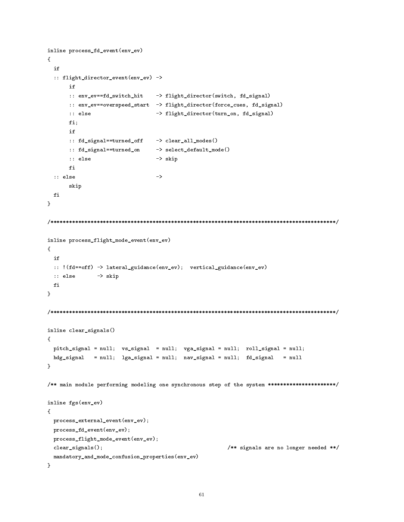```
inline process_fd_event(env_ev)
\left\{ \right.{\color{red} \sim} . The contract of the contract of the contract of the contract of the contract of the contract of the contract of the contract of the contract of the contract of the contract of the contract of the contract of 
   if
   :: flight_director_event(env_ev) ->
          :: env_ev==fd_switch_hit -> flight_director(switch, fd_signal)
           :: env_ev==overspeed_start -> flight_director(force_cues, fd_signal)
           :: else -> flight_director(turn_on, fd_signal)
          fi;
           if
           :: fd_signal==turned_off -> clear_all_modes()
          :: fd_signal==turned_on -> select_default_mode()
          :: else -> skip
           f_1:: else ->
           skip
  fi
\mathcal{F}}
/********************************************************************************************/
inline process_flight_mode_event(env_ev)
{\color{red} \sim} . The contract of the contract of the contract of the contract of the contract of the contract of the contract of the contract of the contract of the contract of the contract of the contract of the contract of 
   :: !(fd==off) -> lateral_guidance(env_ev); vertical_guidance(env_ev)
  :: else -> skip
  fi
}
/********************************************************************************************/
inline clear_signals()
\mathbf{f}{\color{red} \bullet} . The contract of the contract of the contract of the contract of the contract of the contract of the contract of the contract of the contract of the contract of the contract of the contract of the contract of 
  pitch_signal = null; vs_signal = null; vga_signal = null; roll_signal = null;
  hdg_signal = null; lga_signal = null; nav_signal = null; fd_signal = null
\mathcal{F}}
/** main module performing modeling one synchronous step of the system **********************/
inline fgs(env_ev)
\mathcal{F}{\color{red} \bullet} . The contract of the contract of the contract of the contract of the contract of the contract of the contract of the contract of the contract of the contract of the contract of the contract of the contract of 
   process_external_event(env_ev);
   process_fd_event(env_ev);
   process_flight_mode_event(env_ev);
   clear_signals(); /** signals are no longer needed **/
   mandatory_and_mode_confusion_properties(env_ev)
```
}